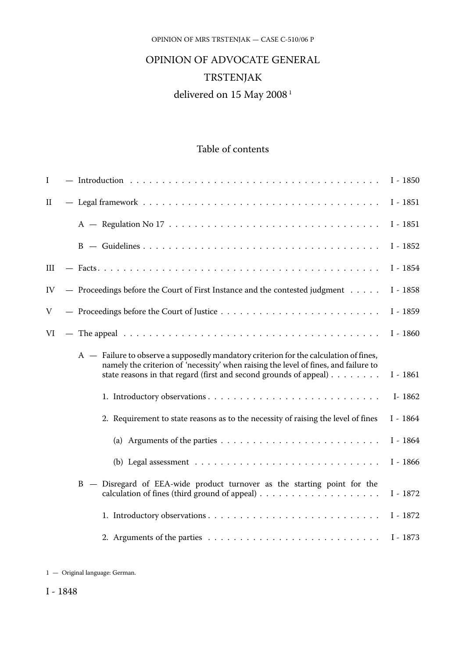#### OPINION OF MRS TRSTENJAK — CASE C-510/06 P

# OPINION OF ADVOCATE GENERAL TRSTENJAK delivered on 15 May 2008<sup>1</sup>

## Table of contents

| I            |                                                                                                                                                                                                                                                                   | $I - 1850$ |
|--------------|-------------------------------------------------------------------------------------------------------------------------------------------------------------------------------------------------------------------------------------------------------------------|------------|
| $\mathbf{I}$ |                                                                                                                                                                                                                                                                   | $I - 1851$ |
|              |                                                                                                                                                                                                                                                                   | $I - 1851$ |
|              |                                                                                                                                                                                                                                                                   | $I - 1852$ |
| Ш            |                                                                                                                                                                                                                                                                   | $I - 1854$ |
| IV           | - Proceedings before the Court of First Instance and the contested judgment                                                                                                                                                                                       | $I - 1858$ |
| V            |                                                                                                                                                                                                                                                                   | $I - 1859$ |
| VI           |                                                                                                                                                                                                                                                                   | $I - 1860$ |
|              | $A -$ Failure to observe a supposedly mandatory criterion for the calculation of fines,<br>namely the criterion of 'necessity' when raising the level of fines, and failure to<br>state reasons in that regard (first and second grounds of appeal) $\dots \dots$ | $I - 1861$ |
|              |                                                                                                                                                                                                                                                                   | I-1862     |
|              | 2. Requirement to state reasons as to the necessity of raising the level of fines                                                                                                                                                                                 | $I - 1864$ |
|              | (a) Arguments of the parties $\ldots \ldots \ldots \ldots \ldots \ldots \ldots$                                                                                                                                                                                   | $I - 1864$ |
|              | (b) Legal assessment $\ldots \ldots \ldots \ldots \ldots \ldots \ldots \ldots$                                                                                                                                                                                    | $I - 1866$ |
|              | B - Disregard of EEA-wide product turnover as the starting point for the<br>calculation of fines (third ground of appeal) $\dots \dots \dots \dots \dots \dots \dots$                                                                                             | $I - 1872$ |
|              |                                                                                                                                                                                                                                                                   | $I - 1872$ |
|              |                                                                                                                                                                                                                                                                   | $I - 1873$ |

<sup>1</sup> — Original language: German.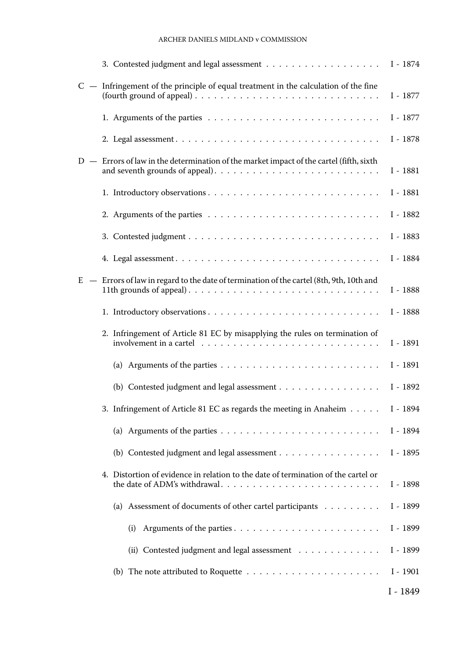#### ARCHER DANIELS MIDLAND v COMMISSION

|    |                                                                                                                                                                                              | $I - 1874$ |
|----|----------------------------------------------------------------------------------------------------------------------------------------------------------------------------------------------|------------|
|    | $C -$ Infringement of the principle of equal treatment in the calculation of the fine                                                                                                        | I - 1877   |
|    |                                                                                                                                                                                              | I - 1877   |
|    |                                                                                                                                                                                              | I - 1878   |
|    | $D -$ Errors of law in the determination of the market impact of the cartel (fifth, sixth                                                                                                    | I - 1881   |
|    |                                                                                                                                                                                              | I - 1881   |
|    |                                                                                                                                                                                              | I - 1882   |
|    |                                                                                                                                                                                              | I - 1883   |
|    |                                                                                                                                                                                              | I - 1884   |
| E. | - Errors of law in regard to the date of termination of the cartel (8th, 9th, 10th and<br>11th grounds of appeal). $\dots \dots \dots \dots \dots \dots \dots \dots \dots \dots \dots \dots$ | I - 1888   |
|    |                                                                                                                                                                                              | I - 1888   |
|    | 2. Infringement of Article 81 EC by misapplying the rules on termination of                                                                                                                  | I - 1891   |
|    |                                                                                                                                                                                              | I - 1891   |
|    | (b) Contested judgment and legal assessment                                                                                                                                                  | I - 1892   |
|    | 3. Infringement of Article 81 EC as regards the meeting in Anaheim                                                                                                                           | I - 1894   |
|    |                                                                                                                                                                                              | I - 1894   |
|    | (b) Contested judgment and legal assessment $\dots \dots \dots \dots \dots \dots$                                                                                                            | I - 1895   |
|    | 4. Distortion of evidence in relation to the date of termination of the cartel or                                                                                                            | I - 1898   |
|    | (a) Assessment of documents of other cartel participants                                                                                                                                     | I - 1899   |
|    | Arguments of the parties<br>(i)                                                                                                                                                              | I - 1899   |
|    | (ii) Contested judgment and legal assessment                                                                                                                                                 | I - 1899   |
|    | (b) The note attributed to Roquette $\ldots \ldots \ldots \ldots \ldots \ldots \ldots$                                                                                                       | $I - 1901$ |
|    |                                                                                                                                                                                              | $I - 1849$ |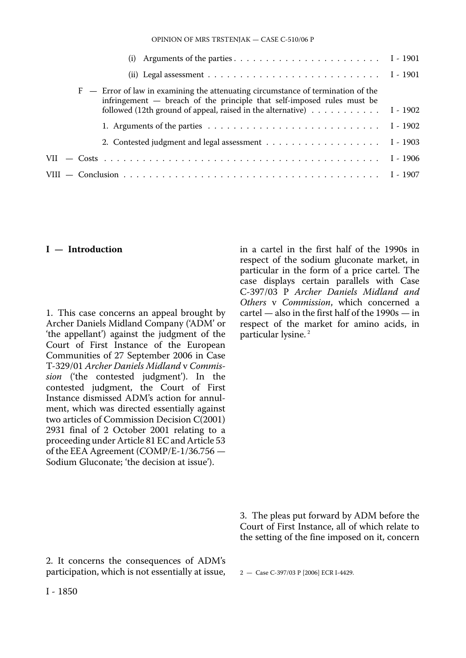OPINION OF MRS TRSTENJAK — CASE C-510/06 P

| (ii) Legal assessment $\ldots \ldots \ldots \ldots \ldots \ldots \ldots \ldots \ldots \ldots$ I - 1901                                                                                                                                                               |  |
|----------------------------------------------------------------------------------------------------------------------------------------------------------------------------------------------------------------------------------------------------------------------|--|
| $F$ – Error of law in examining the attenuating circumstance of termination of the<br>infringement - breach of the principle that self-imposed rules must be<br>followed (12th ground of appeal, raised in the alternative) $\dots \dots \dots \dots \dots$ I - 1902 |  |
| 1. Arguments of the parties $\dots \dots \dots \dots \dots \dots \dots \dots \dots \dots \dots \quad 1 - 1902$                                                                                                                                                       |  |
|                                                                                                                                                                                                                                                                      |  |
|                                                                                                                                                                                                                                                                      |  |
|                                                                                                                                                                                                                                                                      |  |

#### **I — Introduction**

1. This case concerns an appeal brought by Archer Daniels Midland Company ('ADM' or 'the appellant') against the judgment of the Court of First Instance of the European Communities of 27 September 2006 in Case T-329/01 *Archer Daniels Midland* v *Commission* ('the contested judgment'). In the contested judgment, the Court of First Instance dismissed ADM's action for annulment, which was directed essentially against two articles of Commission Decision C(2001) 2931 final of 2 October 2001 relating to a proceeding under Article 81 EC and Article 53 of the EEA Agreement (COMP/E-1/36.756 — Sodium Gluconate; 'the decision at issue').

in a cartel in the first half of the 1990s in respect of the sodium gluconate market, in particular in the form of a price cartel. The case displays certain parallels with Case C-397/03 P *Archer Daniels Midland and Others* v *Commission*, which concerned a cartel — also in the first half of the 1990s — in respect of the market for amino acids, in particular lysine. 2

3. The pleas put forward by ADM before the Court of First Instance, all of which relate to the setting of the fine imposed on it, concern

2. It concerns the consequences of ADM's participation, which is not essentially at issue,

2 — Case C-397/03 P [2006] ECR I-4429.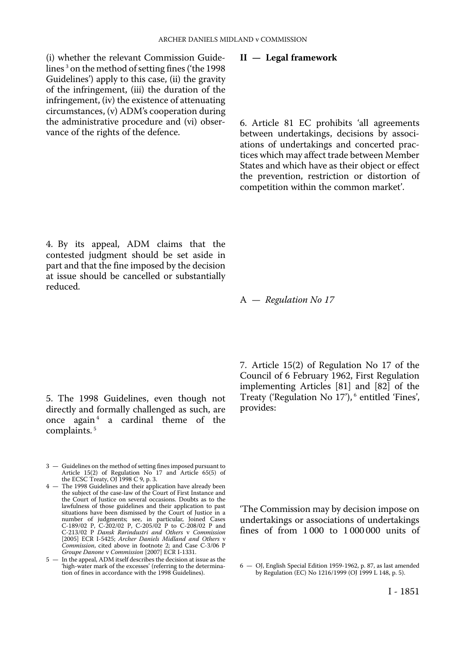(i) whether the relevant Commission Guidelines 3 on the method of setting fines ('the 1998 Guidelines') apply to this case, (ii) the gravity of the infringement, (iii) the duration of the infringement, (iv) the existence of attenuating circumstances, (v) ADM's cooperation during the administrative procedure and (vi) observance of the rights of the defence.

**II — Legal framework** 

A — *Regulation No 17* 

6. Article 81 EC prohibits 'all agreements between undertakings, decisions by associations of undertakings and concerted practices which may affect trade between Member States and which have as their object or effect the prevention, restriction or distortion of competition within the common market'.

4. By its appeal, ADM claims that the contested judgment should be set aside in part and that the fine imposed by the decision at issue should be cancelled or substantially reduced.

5. The 1998 Guidelines, even though not directly and formally challenged as such, are once again<sup>4</sup> a cardinal theme of the complaints. 5

- 3 Guidelines on the method of setting fines imposed pursuant to Article 15(2) of Regulation No 17 and Article 65(5) of the ECSC Treaty, OJ 1998 C 9, p. 3.
- 4 The 1998 Guidelines and their application have already been the subject of the case-law of the Court of First Instance and the Court of Justice on several occasions. Doubts as to the lawfulness of those guidelines and their application to past situations have been dismissed by the Court of Justice in a number of judgments; see, in particular, Joined Cases C-189/02 P, C-202/02 P, C-205/02 P to C-208/02 P and C-213/02 P *Dansk Rørindustri and Others* v *Commission*  [2005] ECR I-5425; *Archer Daniels Midland and Others* v *Commission*, cited above in footnote 2; and Case C-3/06 P *Groupe Danone* v *Commission* [2007] ECR I-1331.

5 — In the appeal, ADM itself describes the decision at issue as the 'high-water mark of the excesses' (referring to the determina-tion of fines in accordance with the 1998 Guidelines). 7. Article 15(2) of Regulation No 17 of the Council of 6 February 1962, First Regulation implementing Articles [81] and [82] of the

Treaty ('Regulation No 17'), 6 entitled 'Fines', provides:

'The Commission may by decision impose on undertakings or associations of undertakings fines of from 1 000 to 1 000 000 units of

<sup>6</sup> — OJ, English Special Edition 1959-1962, p. 87, as last amended by Regulation (EC) No 1216/1999 (OJ 1999 L 148, p. 5).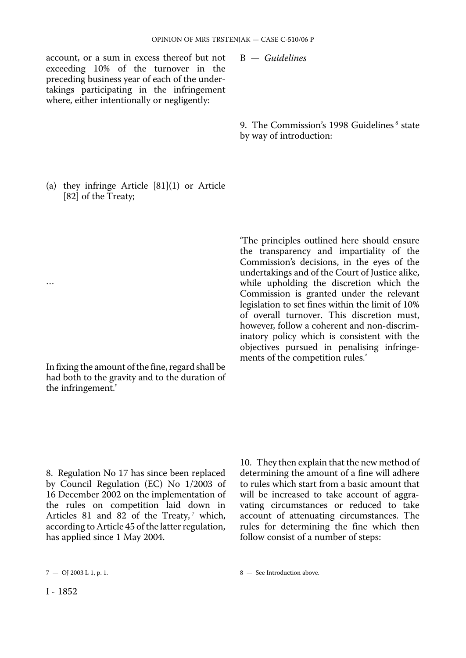account, or a sum in excess thereof but not exceeding 10% of the turnover in the preceding business year of each of the undertakings participating in the infringement where, either intentionally or negligently:

B — *Guidelines* 

9. The Commission's 1998 Guidelines<sup>8</sup> state by way of introduction:

(a) they infringe Article [81](1) or Article [82] of the Treaty;

In fixing the amount of the fine, regard shall be had both to the gravity and to the duration of the infringement.'

'The principles outlined here should ensure the transparency and impartiality of the Commission's decisions, in the eyes of the undertakings and of the Court of Justice alike, while upholding the discretion which the Commission is granted under the relevant legislation to set fines within the limit of 10% of overall turnover. This discretion must, however, follow a coherent and non-discriminatory policy which is consistent with the objectives pursued in penalising infringements of the competition rules.'

8. Regulation No 17 has since been replaced by Council Regulation (EC) No 1/2003 of 16 December 2002 on the implementation of the rules on competition laid down in Articles 81 and 82 of the Treaty, $^7$  which, according to Article 45 of the latter regulation, has applied since 1 May 2004.

10. They then explain that the new method of determining the amount of a fine will adhere to rules which start from a basic amount that will be increased to take account of aggravating circumstances or reduced to take account of attenuating circumstances. The rules for determining the fine which then follow consist of a number of steps:

…

 $7 - \text{O}$  2003 L 1, p. 1.  $8 - \text{See Introduction above.}$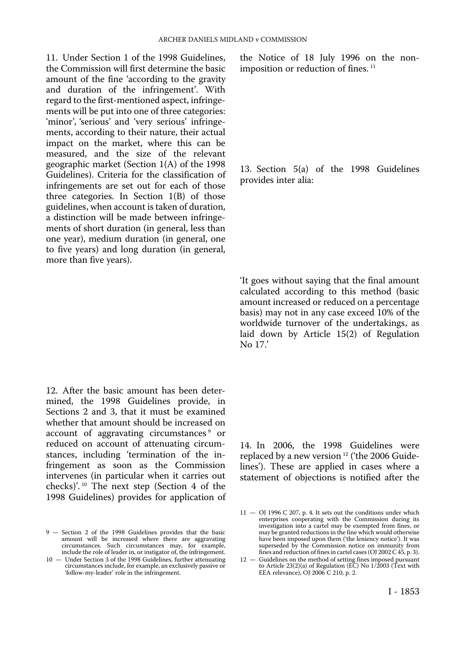11. Under Section 1 of the 1998 Guidelines, the Commission will first determine the basic amount of the fine 'according to the gravity and duration of the infringement'. With regard to the first-mentioned aspect, infringements will be put into one of three categories: 'minor', 'serious' and 'very serious' infringements, according to their nature, their actual impact on the market, where this can be measured, and the size of the relevant geographic market (Section 1(A) of the 1998 Guidelines). Criteria for the classification of infringements are set out for each of those three categories. In Section 1(B) of those guidelines, when account is taken of duration, a distinction will be made between infringements of short duration (in general, less than one year), medium duration (in general, one to five years) and long duration (in general, more than five years).

12. After the basic amount has been determined, the 1998 Guidelines provide, in Sections 2 and 3, that it must be examined whether that amount should be increased on account of aggravating circumstances<sup>9</sup> or reduced on account of attenuating circumstances, including 'termination of the infringement as soon as the Commission intervenes (in particular when it carries out checks)'. 10 The next step (Section 4 of the 1998 Guidelines) provides for application of

the Notice of 18 July 1996 on the nonimposition or reduction of fines.<sup>11</sup>

13. Section 5(a) of the 1998 Guidelines provides inter alia:

'It goes without saying that the final amount calculated according to this method (basic amount increased or reduced on a percentage basis) may not in any case exceed 10% of the worldwide turnover of the undertakings, as laid down by Article 15(2) of Regulation No 17.'

14. In 2006, the 1998 Guidelines were replaced by a new version 12 ('the 2006 Guidelines'). These are applied in cases where a statement of objections is notified after the

<sup>9</sup> — Section 2 of the 1998 Guidelines provides that the basic amount will be increased where there are aggravating circumstances. Such circumstances may, for example, include the role of leader in, or instigator of, the infringement.

<sup>10</sup> — Under Section 3 of the 1998 Guidelines, further attenuating circumstances include, for example, an exclusively passive or 'follow-my-leader' role in the infringement.

 $11 -$  OJ 1996 C 207, p. 4. It sets out the conditions under which enterprises cooperating with the Commission during its investigation into a cartel may be exempted from fines, or may be granted reductions in the fine which would otherwise have been imposed upon them ('the leniency notice'). It was superseded by the Commission notice on immunity from fines and reduction of fines in cartel cases (OJ 2002 C 45, p. 3).

<sup>12 –</sup> Guidelines on the method of setting fines imposed pursuant to Article 23(2)(a) of Regulation (EC) No 1/2003 (Text with EEA relevance), OJ 2006 C 210, p. 2.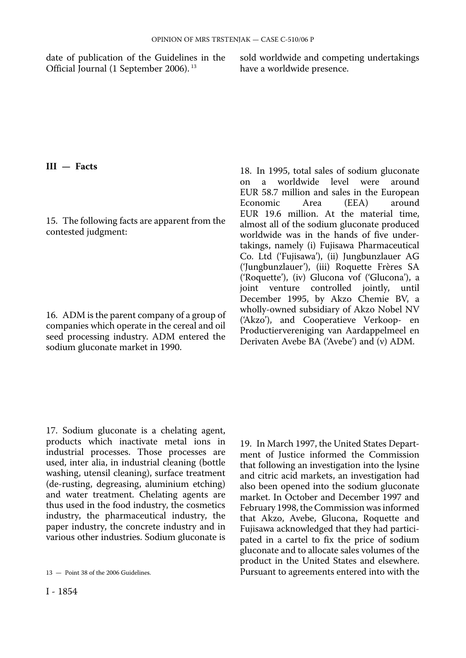date of publication of the Guidelines in the sold worldwide and competing undertakings Official Journal (1 September 2006).<sup>13</sup> have a worldwide presence. Official Journal (1 September 2006).<sup>13</sup>

### **III — Facts**

15. The following facts are apparent from the contested judgment:

16. ADM is the parent company of a group of companies which operate in the cereal and oil seed processing industry. ADM entered the sodium gluconate market in 1990.

18. In 1995, total sales of sodium gluconate<br>on a worldwide level were around on a worldwide level were EUR 58.7 million and sales in the European<br>Economic Area (EEA) around Economic Area (EEA) around EUR 19.6 million. At the material time, almost all of the sodium gluconate produced worldwide was in the hands of five undertakings, namely (i) Fujisawa Pharmaceutical Co. Ltd ('Fujisawa'), (ii) Jungbunzlauer AG ('Jungbunzlauer'), (iii) Roquette Frères SA ('Roquette'), (iv) Glucona vof ('Glucona'), a joint venture controlled jointly, until December 1995, by Akzo Chemie BV, a wholly-owned subsidiary of Akzo Nobel NV ('Akzo'), and Cooperatieve Verkoop- en Productiervereniging van Aardappelmeel en Derivaten Avebe BA ('Avebe') and (v) ADM.

17. Sodium gluconate is a chelating agent, products which inactivate metal ions in industrial processes. Those processes are used, inter alia, in industrial cleaning (bottle washing, utensil cleaning), surface treatment (de-rusting, degreasing, aluminium etching) and water treatment. Chelating agents are thus used in the food industry, the cosmetics industry, the pharmaceutical industry, the paper industry, the concrete industry and in various other industries. Sodium gluconate is

19. In March 1997, the United States Department of Justice informed the Commission that following an investigation into the lysine and citric acid markets, an investigation had also been opened into the sodium gluconate market. In October and December 1997 and February 1998, the Commission was informed that Akzo, Avebe, Glucona, Roquette and Fujisawa acknowledged that they had participated in a cartel to fix the price of sodium gluconate and to allocate sales volumes of the product in the United States and elsewhere. Pursuant to agreements entered into with the

<sup>13</sup> — Point 38 of the 2006 Guidelines.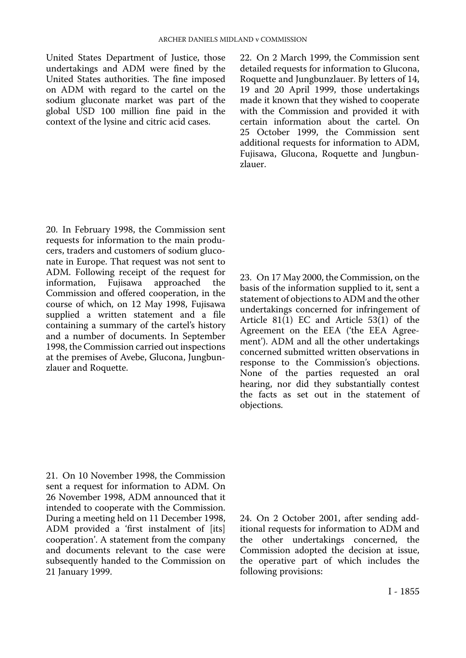United States Department of Justice, those undertakings and ADM were fined by the United States authorities. The fine imposed on ADM with regard to the cartel on the sodium gluconate market was part of the global USD 100 million fine paid in the context of the lysine and citric acid cases.

22. On 2 March 1999, the Commission sent detailed requests for information to Glucona, Roquette and Jungbunzlauer. By letters of 14, 19 and 20 April 1999, those undertakings made it known that they wished to cooperate with the Commission and provided it with certain information about the cartel. On 25 October 1999, the Commission sent additional requests for information to ADM, Fujisawa, Glucona, Roquette and Jungbunzlauer.

20. In February 1998, the Commission sent requests for information to the main producers, traders and customers of sodium gluconate in Europe. That request was not sent to ADM. Following receipt of the request for information, Fujisawa approached the approached Commission and offered cooperation, in the course of which, on 12 May 1998, Fujisawa supplied a written statement and a file containing a summary of the cartel's history and a number of documents. In September 1998, the Commission carried out inspections at the premises of Avebe, Glucona, Jungbunzlauer and Roquette.

23. On 17 May 2000, the Commission, on the basis of the information supplied to it, sent a statement of objections to ADM and the other undertakings concerned for infringement of Article  $81(1)$  EC and Article  $53(1)$  of the Agreement on the EEA ('the EEA Agreement'). ADM and all the other undertakings concerned submitted written observations in response to the Commission's objections. None of the parties requested an oral hearing, nor did they substantially contest the facts as set out in the statement of objections.

21. On 10 November 1998, the Commission sent a request for information to ADM. On 26 November 1998, ADM announced that it intended to cooperate with the Commission. During a meeting held on 11 December 1998, ADM provided a 'first instalment of [its] cooperation'. A statement from the company and documents relevant to the case were subsequently handed to the Commission on 21 January 1999.

24. On 2 October 2001, after sending additional requests for information to ADM and the other undertakings concerned, the Commission adopted the decision at issue, the operative part of which includes the following provisions: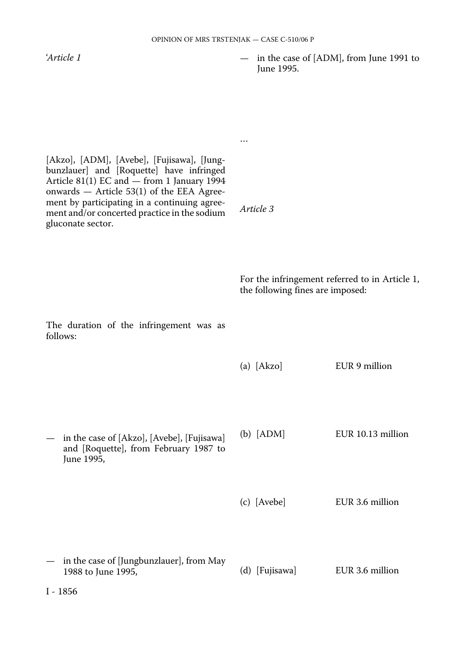…

*Article 3* 

'*Article 1* 

— in the case of [ADM], from June 1991 to June 1995.

[Akzo], [ADM], [Avebe], [Fujisawa], [Jungbunzlauer] and [Roquette] have infringed Article 81(1) EC and — from 1 January 1994 onwards — Article 53(1) of the EEA Agreement by participating in a continuing agreement and/or concerted practice in the sodium gluconate sector.

> For the infringement referred to in Article 1, the following fines are imposed:

| The duration of the infringement was as<br>follows:                                               |                |                   |
|---------------------------------------------------------------------------------------------------|----------------|-------------------|
|                                                                                                   | $(a)$ [Akzo]   | EUR 9 million     |
| in the case of [Akzo], [Avebe], [Fujisawa]<br>and [Roquette], from February 1987 to<br>June 1995, | $(b)$ [ADM]    | EUR 10.13 million |
|                                                                                                   | (c) [Avebe]    | EUR 3.6 million   |
| in the case of [Jungbunzlauer], from May<br>1988 to June 1995,                                    | (d) [Fujisawa] | EUR 3.6 million   |
| I - 1856                                                                                          |                |                   |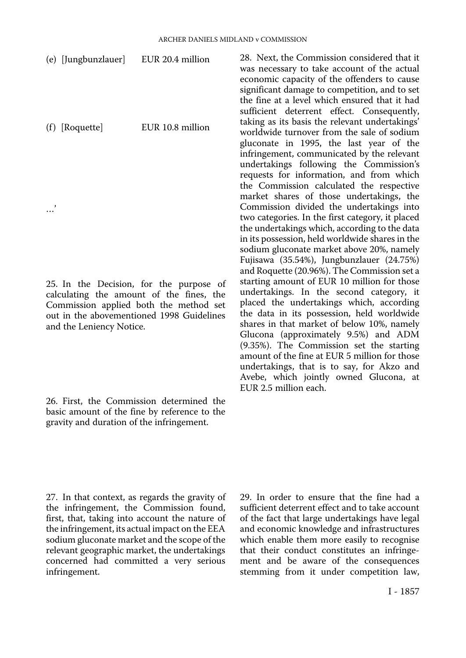| (e) [Jungbunzlauer]                                                                                                                                                                                    | EUR 20.4 million | 28. Next, the Commission considered that it<br>was necessary to take account of the actual                                                                                                                                                                                                                                             |
|--------------------------------------------------------------------------------------------------------------------------------------------------------------------------------------------------------|------------------|----------------------------------------------------------------------------------------------------------------------------------------------------------------------------------------------------------------------------------------------------------------------------------------------------------------------------------------|
| (f) [Roquette]                                                                                                                                                                                         | EUR 10.8 million | economic capacity of the offenders to cause<br>significant damage to competition, and to set<br>the fine at a level which ensured that it had<br>sufficient deterrent effect. Consequently,<br>taking as its basis the relevant undertakings'<br>worldwide turnover from the sale of sodium<br>gluconate in 1995, the last year of the |
|                                                                                                                                                                                                        |                  | infringement, communicated by the relevant<br>undertakings following the Commission's<br>requests for information, and from which<br>the Commission calculated the respective<br>market shares of those undertakings, the                                                                                                              |
|                                                                                                                                                                                                        |                  | Commission divided the undertakings into<br>two categories. In the first category, it placed                                                                                                                                                                                                                                           |
|                                                                                                                                                                                                        |                  | the undertakings which, according to the data<br>in its possession, held worldwide shares in the<br>sodium gluconate market above 20%, namely                                                                                                                                                                                          |
|                                                                                                                                                                                                        |                  | Fujisawa (35.54%), Jungbunzlauer (24.75%)<br>and Roquette (20.96%). The Commission set a                                                                                                                                                                                                                                               |
| 25. In the Decision, for the purpose of<br>calculating the amount of the fines, the<br>Commission applied both the method set<br>out in the abovementioned 1998 Guidelines<br>and the Leniency Notice. |                  | starting amount of EUR 10 million for those<br>undertakings. In the second category, it<br>placed the undertakings which, according<br>the data in its possession, held worldwide<br>shares in that market of below 10%, namely<br>Glucona (approximately 9.5%) and ADM                                                                |

26. First, the Commission determined the basic amount of the fine by reference to the gravity and duration of the infringement.

> 29. In order to ensure that the fine had a sufficient deterrent effect and to take account of the fact that large undertakings have legal and economic knowledge and infrastructures which enable them more easily to recognise that their conduct constitutes an infringement and be aware of the consequences stemming from it under competition law,

(9.35%). The Commission set the starting amount of the fine at EUR 5 million for those undertakings, that is to say, for Akzo and Avebe, which jointly owned Glucona, at

EUR 2.5 million each.

27. In that context, as regards the gravity of the infringement, the Commission found, first, that, taking into account the nature of the infringement, its actual impact on the EEA sodium gluconate market and the scope of the relevant geographic market, the undertakings concerned had committed a very serious infringement.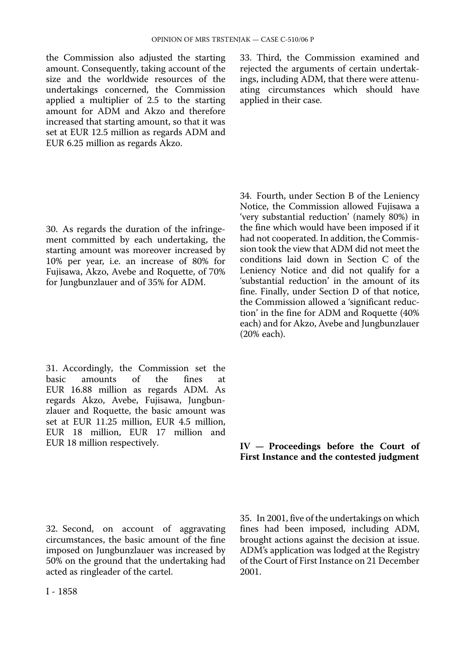the Commission also adjusted the starting amount. Consequently, taking account of the size and the worldwide resources of the undertakings concerned, the Commission applied a multiplier of 2.5 to the starting amount for ADM and Akzo and therefore increased that starting amount, so that it was set at EUR 12.5 million as regards ADM and EUR 6.25 million as regards Akzo.

30. As regards the duration of the infringement committed by each undertaking, the starting amount was moreover increased by 10% per year, i.e. an increase of 80% for Fujisawa, Akzo, Avebe and Roquette, of 70% for Jungbunzlauer and of 35% for ADM.

31. Accordingly, the Commission set the basic amounts of the fines at EUR 16.88 million as regards ADM. As regards Akzo, Avebe, Fujisawa, Jungbunzlauer and Roquette, the basic amount was set at EUR 11.25 million, EUR 4.5 million, EUR 18 million, EUR 17 million and EUR 18 million respectively.

32. Second, on account of aggravating circumstances, the basic amount of the fine imposed on Jungbunzlauer was increased by 50% on the ground that the undertaking had acted as ringleader of the cartel.

33. Third, the Commission examined and rejected the arguments of certain undertakings, including ADM, that there were attenuating circumstances which should have applied in their case.

34. Fourth, under Section B of the Leniency Notice, the Commission allowed Fujisawa a 'very substantial reduction' (namely 80%) in the fine which would have been imposed if it had not cooperated. In addition, the Commission took the view that ADM did not meet the conditions laid down in Section C of the Leniency Notice and did not qualify for a 'substantial reduction' in the amount of its fine. Finally, under Section D of that notice, the Commission allowed a 'significant reduction' in the fine for ADM and Roquette (40% each) and for Akzo, Avebe and Jungbunzlauer (20% each).

#### **IV — Proceedings before the Court of First Instance and the contested judgment**

35. In 2001, five of the undertakings on which fines had been imposed, including ADM, brought actions against the decision at issue. ADM's application was lodged at the Registry of the Court of First Instance on 21 December 2001.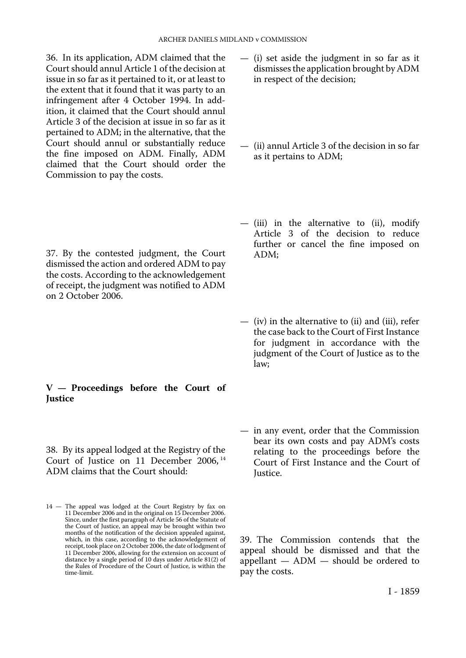36. In its application, ADM claimed that the Court should annul Article 1 of the decision at issue in so far as it pertained to it, or at least to the extent that it found that it was party to an infringement after 4 October 1994. In addition, it claimed that the Court should annul Article 3 of the decision at issue in so far as it pertained to ADM; in the alternative, that the Court should annul or substantially reduce the fine imposed on ADM. Finally, ADM claimed that the Court should order the Commission to pay the costs.

37. By the contested judgment, the Court dismissed the action and ordered ADM to pay the costs. According to the acknowledgement of receipt, the judgment was notified to ADM on 2 October 2006.

#### **V — Proceedings before the Court of Justice**

38. By its appeal lodged at the Registry of the Court of Justice on 11 December 2006, <sup>14</sup> ADM claims that the Court should:

- (ii) annul Article 3 of the decision in so far as it pertains to ADM;
- (iii) in the alternative to (ii), modify Article 3 of the decision to reduce further or cancel the fine imposed on ADM;
- (iv) in the alternative to (ii) and (iii), refer the case back to the Court of First Instance for judgment in accordance with the judgment of the Court of Justice as to the law;
- in any event, order that the Commission bear its own costs and pay ADM's costs relating to the proceedings before the Court of First Instance and the Court of Justice.

39. The Commission contends that the appeal should be dismissed and that the appellant — ADM — should be ordered to pay the costs.

<sup>14</sup> — The appeal was lodged at the Court Registry by fax on 11 December 2006 and in the original on 15 December 2006. Since, under the first paragraph of Article 56 of the Statute of the Court of Justice, an appeal may be brought within two months of the notification of the decision appealed against, which, in this case, according to the acknowledgement of receipt, took place on 2 October 2006, the date of lodgment of 11 December 2006, allowing for the extension on account of distance by a single period of 10 days under Article 81(2) of the Rules of Procedure of the Court of Justice, is within the time-limit.

<sup>—</sup> (i) set aside the judgment in so far as it dismisses the application brought by ADM in respect of the decision;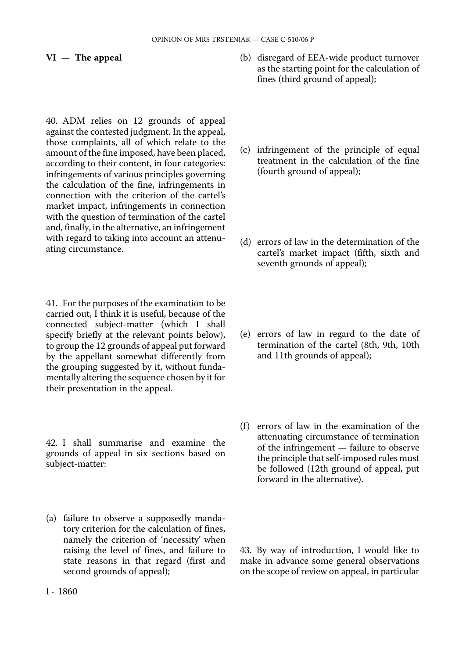#### **VI — The appeal**

40. ADM relies on 12 grounds of appeal against the contested judgment. In the appeal, those complaints, all of which relate to the amount of the fine imposed, have been placed, according to their content, in four categories: infringements of various principles governing the calculation of the fine, infringements in connection with the criterion of the cartel's market impact, infringements in connection with the question of termination of the cartel and, finally, in the alternative, an infringement with regard to taking into account an attenuating circumstance.

41. For the purposes of the examination to be carried out, I think it is useful, because of the connected subject-matter (which I shall specify briefly at the relevant points below), to group the 12 grounds of appeal put forward by the appellant somewhat differently from the grouping suggested by it, without fundamentally altering the sequence chosen by it for their presentation in the appeal.

42. I shall summarise and examine the grounds of appeal in six sections based on subject-matter:

(a) failure to observe a supposedly mandatory criterion for the calculation of fines, namely the criterion of 'necessity' when raising the level of fines, and failure to state reasons in that regard (first and second grounds of appeal);

- (b) disregard of EEA-wide product turnover as the starting point for the calculation of fines (third ground of appeal);
- (c) infringement of the principle of equal treatment in the calculation of the fine (fourth ground of appeal);
- (d) errors of law in the determination of the cartel's market impact (fifth, sixth and seventh grounds of appeal);
- (e) errors of law in regard to the date of termination of the cartel (8th, 9th, 10th and 11th grounds of appeal);
- (f) errors of law in the examination of the attenuating circumstance of termination of the infringement — failure to observe the principle that self-imposed rules must be followed (12th ground of appeal, put forward in the alternative).

43. By way of introduction, I would like to make in advance some general observations on the scope of review on appeal, in particular

I - 1860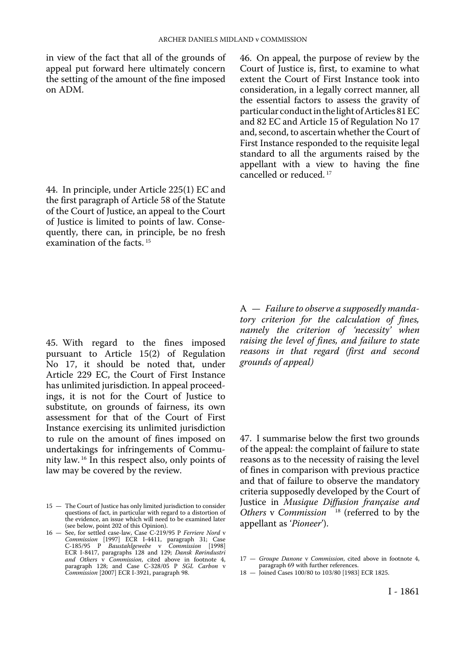in view of the fact that all of the grounds of appeal put forward here ultimately concern the setting of the amount of the fine imposed on ADM.

44. In principle, under Article 225(1) EC and the first paragraph of Article 58 of the Statute of the Court of Justice, an appeal to the Court of Justice is limited to points of law. Consequently, there can, in principle, be no fresh examination of the facts. 15

46. On appeal, the purpose of review by the Court of Justice is, first, to examine to what extent the Court of First Instance took into consideration, in a legally correct manner, all the essential factors to assess the gravity of particular conduct in the light of Articles 81 EC and 82 EC and Article 15 of Regulation No 17 and, second, to ascertain whether the Court of First Instance responded to the requisite legal standard to all the arguments raised by the appellant with a view to having the fine cancelled or reduced. 17

45. With regard to the fines imposed pursuant to Article 15(2) of Regulation No 17, it should be noted that, under Article 229 EC, the Court of First Instance has unlimited jurisdiction. In appeal proceedings, it is not for the Court of Justice to substitute, on grounds of fairness, its own assessment for that of the Court of First Instance exercising its unlimited jurisdiction to rule on the amount of fines imposed on undertakings for infringements of Community law. 16 In this respect also, only points of law may be covered by the review.

A — *Failure to observe a supposedly mandatory criterion for the calculation of fines, namely the criterion of 'necessity' when raising the level of fines, and failure to state reasons in that regard (first and second grounds of appeal)* 

47. I summarise below the first two grounds of the appeal: the complaint of failure to state reasons as to the necessity of raising the level of fines in comparison with previous practice and that of failure to observe the mandatory criteria supposedly developed by the Court of Justice in *Musique Diffusion française and Others* v *Commission* 18 (referred to by the appellant as '*Pioneer*').

<sup>15 -</sup> The Court of Justice has only limited jurisdiction to consider questions of fact, in particular with regard to a distortion of the evidence, an issue which will need to be examined later (see below, point 202 of this Opinion).

<sup>16</sup> — See, for settled case-law, Case C-219/95 P *Ferriere Nord* v *Commission* [1997] ECR I-4411, paragraph 31; Case C-185/95 P *Baustahlgewebe* v *Commission* [1998] ECR I-8417, paragraphs 128 and 129; *Dansk Rørindustri and Others* v *Commission*, cited above in footnote 4, paragraph 128; and Case C-328/05 P *SGL Carbon* v *Commission* [2007] ECR I-3921, paragraph 98.

<sup>17</sup> — *Groupe Danone* v *Commission*, cited above in footnote 4, paragraph 69 with further references.

<sup>18</sup> — Joined Cases 100/80 to 103/80 [1983] ECR 1825.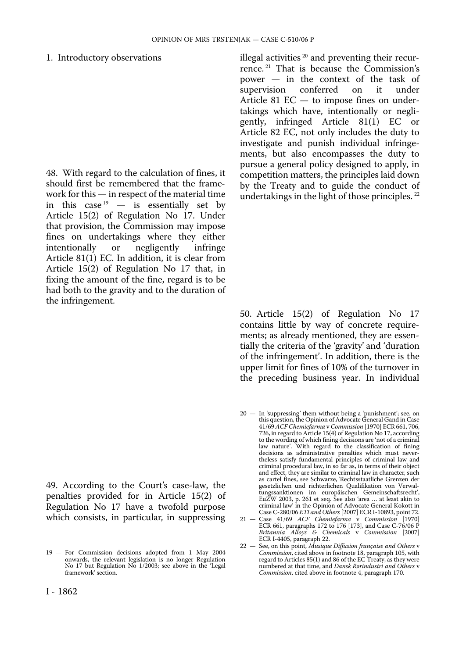#### 1. Introductory observations

48. With regard to the calculation of fines, it should first be remembered that the framework for this — in respect of the material time in this case  $19$  – is essentially set by Article 15(2) of Regulation No 17. Under that provision, the Commission may impose fines on undertakings where they either<br>intentionally or negligently infringe negligently Article 81(1) EC. In addition, it is clear from Article 15(2) of Regulation No 17 that, in fixing the amount of the fine, regard is to be had both to the gravity and to the duration of the infringement.

49. According to the Court's case-law, the penalties provided for in Article 15(2) of Regulation No 17 have a twofold purpose which consists, in particular, in suppressing illegal activities<sup>20</sup> and preventing their recurrence. 21 That is because the Commission's power — in the context of the task of<br>supervision conferred on it under supervision conferred on it under Article 81 EC — to impose fines on undertakings which have, intentionally or negligently, infringed Article 81(1) EC or Article 82 EC, not only includes the duty to investigate and punish individual infringements, but also encompasses the duty to pursue a general policy designed to apply, in competition matters, the principles laid down by the Treaty and to guide the conduct of undertakings in the light of those principles. 22

50. Article 15(2) of Regulation No 17 contains little by way of concrete requirements; as already mentioned, they are essentially the criteria of the 'gravity' and 'duration of the infringement'. In addition, there is the upper limit for fines of 10% of the turnover in the preceding business year. In individual

21 — Case 41/69 *ACF Chemiefarma* v *Commission* [1970] ECR 661, paragraphs 172 to 176 [173], and Case C-76/06 P *Britannia Alloys & Chemicals* v *Commission* [2007] ECR I-4405, paragraph 22.

<sup>19</sup> — For Commission decisions adopted from 1 May 2004 onwards, the relevant legislation is no longer Regulation No 17 but Regulation No 1/2003; see above in the 'Legal framework' section.

<sup>20</sup> — In 'suppressing' them without being a 'punishment'; see, on this question, the Opinion of Advocate General Gand in Case 41/69 *ACF Chemiefarma* v *Commission* [1970] ECR 661, 706, 726, in regard to Article 15(4) of Regulation No 17, according to the wording of which fining decisions are 'not of a criminal law nature'. With regard to the classification of fining decisions as administrative penalties which must never-theless satisfy fundamental principles of criminal law and criminal procedural law, in so far as, in terms of their object and effect, they are similar to criminal law in character, such as cartel fines, see Schwarze, 'Rechtsstaatliche Grenzen der gesetzlichen und richterlichen Qualifikation von Verwaltungssanktionen im europäischen Gemeinschaftsrecht', EuZW 2003, p. 261 et seq. See also 'area … at least akin to criminal law' in the Opinion of Advocate General Kokott in Case C-280/06 *ETI and Others* [2007] ECR I-10893, point 72.

<sup>22</sup> — See, on this point, *Musique Diffusion française and Others* v *Commission*, cited above in footnote 18, paragraph 105, with regard to Articles 85(1) and 86 of the EC Treaty, as they were numbered at that time, and *Dansk Rørindustri and Others* v *Commission*, cited above in footnote 4, paragraph 170.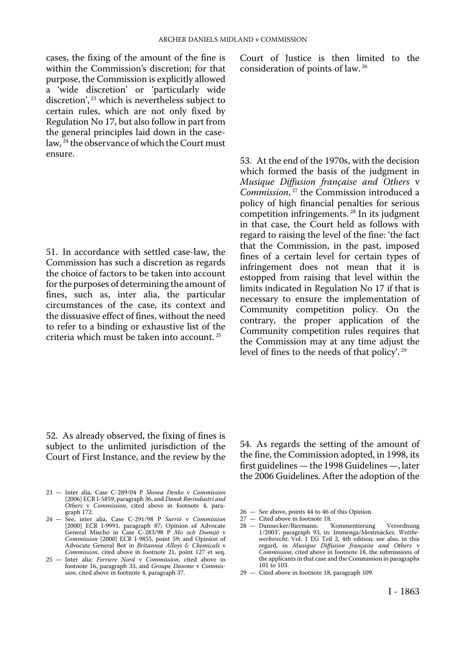cases, the fixing of the amount of the fine is within the Commission's discretion; for that purpose, the Commission is explicitly allowed a 'wide discretion' or 'particularly wide discretion', 23 which is nevertheless subject to certain rules, which are not only fixed by Regulation No 17, but also follow in part from the general principles laid down in the caselaw, 24 the observance of which the Court must ensure.

51. In accordance with settled case-law, the Commission has such a discretion as regards the choice of factors to be taken into account for the purposes of determining the amount of fines, such as, inter alia, the particular circumstances of the case, its context and the dissuasive effect of fines, without the need to refer to a binding or exhaustive list of the criteria which must be taken into account. 25

Court of Justice is then limited to the consideration of points of law. 26

53. At the end of the 1970s, with the decision which formed the basis of the judgment in *Musique Diffusion française and Others* v *Commission*, 27 the Commission introduced a policy of high financial penalties for serious competition infringements. 28 In its judgment in that case, the Court held as follows with regard to raising the level of the fine: 'the fact that the Commission, in the past, imposed fines of a certain level for certain types of infringement does not mean that it is estopped from raising that level within the limits indicated in Regulation No 17 if that is necessary to ensure the implementation of Community competition policy. On the contrary, the proper application of the Community competition rules requires that the Commission may at any time adjust the level of fines to the needs of that policy'. 29

52. As already observed, the fixing of fines is subject to the unlimited jurisdiction of the Court of First Instance, and the review by the

- 23 Inter alia, Case C-289/04 P *Showa Denko* v *Commission*  [2006] ECR I-5859, paragraph 36, and *Dansk Rørindustri and Others* v *Commission*, cited above in footnote 4, paragraph 172.
- 24 See, inter alia, Case C-291/98 P *Sarrió* v *Commission*  [2000] ECR I-9991, paragraph 87; Opinion of Advocate General Mischo in Case C-283/98 P *Mo och Domsjö* v *Commission* [2000] ECR I-9855, point 59; and Opinion of Advocate General Bot in *Britannia Alloys & Chemicals* v *Commission*, cited above in footnote 21, point 127 et seq.
- 25 Inter alia: *Ferriere Nord* v *Commission*, cited above in footnote 16, paragraph 33, and *Groupe Danone* v *Commis-sion*, cited above in footnote 4, paragraph 37.

54. As regards the setting of the amount of the fine, the Commission adopted, in 1998, its first guidelines — the 1998 Guidelines —, later the 2006 Guidelines. After the adoption of the

- 26 See above, points 44 to 46 of this Opinion.
- 
- 27 Cited above in footnote 18.<br>28 Dannecker/Biermann: Kommentierung 28 — Dannecker/Biermann: 'Kommentierung Verordnung 1/2003', paragraph 93, in: Immenga/Mestmäcker, *Wettbe-werbsrecht*, Vol. 1 EG Teil 2, 4th edition; see also, in this regard, in *Musique Diffusion française and Others* v *Commission*, cited above in footnote 18, the submissions of the applicants in that case and the Commission in paragraphs 101 to 103.
- 29 Cited above in footnote 18, paragraph 109.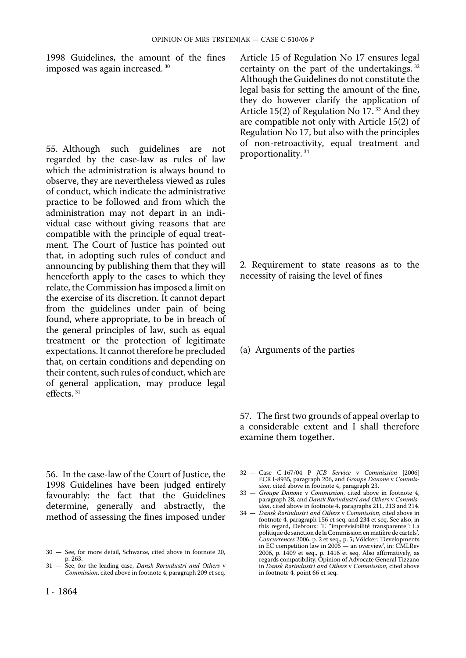1998 Guidelines, the amount of the fines imposed was again increased. 30

55. Although such guidelines are not regarded by the case-law as rules of law which the administration is always bound to observe, they are nevertheless viewed as rules of conduct, which indicate the administrative practice to be followed and from which the administration may not depart in an individual case without giving reasons that are compatible with the principle of equal treatment. The Court of Justice has pointed out that, in adopting such rules of conduct and announcing by publishing them that they will henceforth apply to the cases to which they relate, the Commission has imposed a limit on the exercise of its discretion. It cannot depart from the guidelines under pain of being found, where appropriate, to be in breach of the general principles of law, such as equal treatment or the protection of legitimate expectations. It cannot therefore be precluded that, on certain conditions and depending on their content, such rules of conduct, which are of general application, may produce legal effects<sup>31</sup>

56. In the case-law of the Court of Justice, the 1998 Guidelines have been judged entirely favourably: the fact that the Guidelines determine, generally and abstractly, the method of assessing the fines imposed under Article 15 of Regulation No 17 ensures legal certainty on the part of the undertakings. 32 Although the Guidelines do not constitute the legal basis for setting the amount of the fine, they do however clarify the application of Article 15(2) of Regulation No 17.<sup>33</sup> And they are compatible not only with Article 15(2) of Regulation No 17, but also with the principles of non-retroactivity, equal treatment and proportionality. 34

2. Requirement to state reasons as to the necessity of raising the level of fines

#### (a) Arguments of the parties

57. The first two grounds of appeal overlap to a considerable extent and I shall therefore examine them together.

32 — Case C-167/04 P *JCB Service* v *Commission* [2006] ECR I-8935, paragraph 206, and *Groupe Danone* v *Commission*, cited above in footnote 4, paragraph 23.

33 — *Groupe Danone* v *Commission*, cited above in footnote 4, paragraph 28, and *Dansk Rørindustri and Others* v *Commission*, cited above in footnote 4, paragraphs 211, 213 and 214.

34 — *Dansk Rørindustri and Others* v *Commission*, cited above in footnote 4, paragraph 156 et seq. and 234 et seq. See also, in this regard, Debroux: 'L' "imprévisibilité transparente": La politique de sanction de la Commission en matière de cartels'*, Concurrences* 2006, p. 2 et seq., p. 5; Völcker: 'Developments in EC competition law in 2005 — an overview', in: CMLRev 2006, p. 1409 et seq., p. 1416 et seq. Also affirmatively, as regards compatibility, Opinion of Advocate General Tizzano in *Dansk Rørindustri and Others* v *Commission*, cited above in footnote 4, point 66 et seq.

<sup>30</sup> — See, for more detail, Schwarze, cited above in footnote 20, p. 263.

<sup>31</sup> — See, for the leading case, *Dansk Rørindustri and Others* v *Commission*, cited above in footnote 4, paragraph 209 et seq.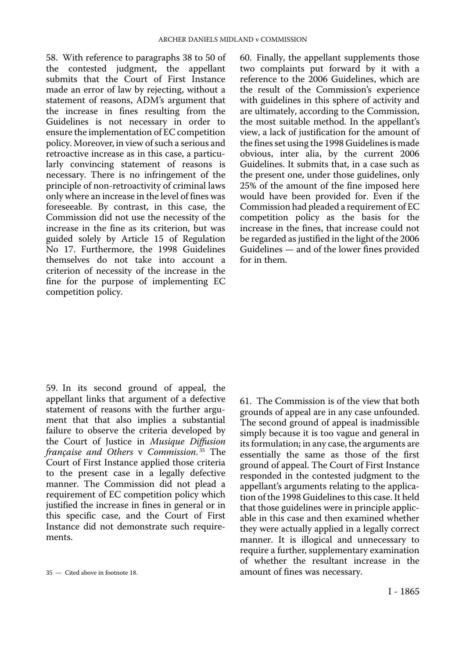58. With reference to paragraphs 38 to 50 of the contested judgment, the appellant submits that the Court of First Instance made an error of law by rejecting, without a statement of reasons, ADM's argument that the increase in fines resulting from the Guidelines is not necessary in order to ensure the implementation of EC competition policy. Moreover, in view of such a serious and retroactive increase as in this case, a particularly convincing statement of reasons is necessary. There is no infringement of the principle of non-retroactivity of criminal laws only where an increase in the level of fines was foreseeable. By contrast, in this case, the Commission did not use the necessity of the increase in the fine as its criterion, but was guided solely by Article 15 of Regulation No 17. Furthermore, the 1998 Guidelines themselves do not take into account a criterion of necessity of the increase in the fine for the purpose of implementing EC competition policy.

60. Finally, the appellant supplements those two complaints put forward by it with a reference to the 2006 Guidelines, which are the result of the Commission's experience with guidelines in this sphere of activity and are ultimately, according to the Commission, the most suitable method. In the appellant's view, a lack of justification for the amount of the fines set using the 1998 Guidelines is made obvious, inter alia, by the current 2006 Guidelines. It submits that, in a case such as the present one, under those guidelines, only 25% of the amount of the fine imposed here would have been provided for. Even if the Commission had pleaded a requirement of EC competition policy as the basis for the increase in the fines, that increase could not be regarded as justified in the light of the 2006 Guidelines — and of the lower fines provided for in them.

59. In its second ground of appeal, the appellant links that argument of a defective statement of reasons with the further argument that that also implies a substantial failure to observe the criteria developed by the Court of Justice in *Musique Diffusion française and Others* v *Commission*. 35 The Court of First Instance applied those criteria to the present case in a legally defective manner. The Commission did not plead a requirement of EC competition policy which justified the increase in fines in general or in this specific case, and the Court of First Instance did not demonstrate such requirements.

61. The Commission is of the view that both grounds of appeal are in any case unfounded. The second ground of appeal is inadmissible simply because it is too vague and general in its formulation; in any case, the arguments are essentially the same as those of the first ground of appeal. The Court of First Instance responded in the contested judgment to the appellant's arguments relating to the application of the 1998 Guidelines to this case. It held that those guidelines were in principle applicable in this case and then examined whether they were actually applied in a legally correct manner. It is illogical and unnecessary to require a further, supplementary examination of whether the resultant increase in the amount of fines was necessary.

<sup>35</sup> — Cited above in footnote 18.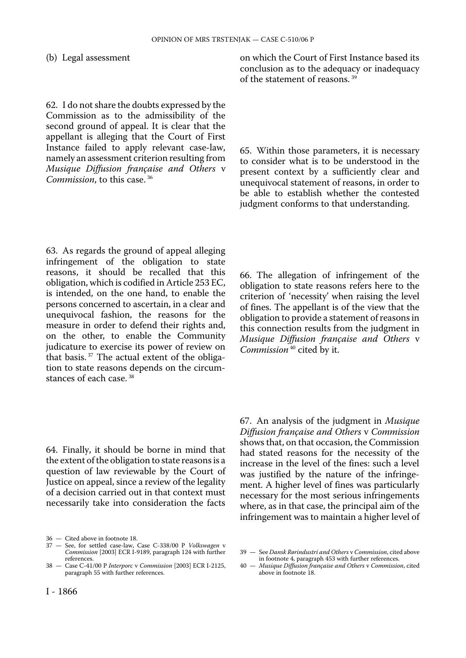#### (b) Legal assessment

62. I do not share the doubts expressed by the Commission as to the admissibility of the second ground of appeal. It is clear that the appellant is alleging that the Court of First Instance failed to apply relevant case-law, namely an assessment criterion resulting from *Musique Diffusion française and Others* v *Commission*, to this case. 36

63. As regards the ground of appeal alleging infringement of the obligation to state reasons, it should be recalled that this obligation, which is codified in Article 253 EC, is intended, on the one hand, to enable the persons concerned to ascertain, in a clear and unequivocal fashion, the reasons for the measure in order to defend their rights and, on the other, to enable the Community judicature to exercise its power of review on that basis. 37 The actual extent of the obligation to state reasons depends on the circumstances of each case. 38

64. Finally, it should be borne in mind that the extent of the obligation to state reasons is a question of law reviewable by the Court of Justice on appeal, since a review of the legality of a decision carried out in that context must necessarily take into consideration the facts

on which the Court of First Instance based its conclusion as to the adequacy or inadequacy of the statement of reasons. 39

65. Within those parameters, it is necessary to consider what is to be understood in the present context by a sufficiently clear and unequivocal statement of reasons, in order to be able to establish whether the contested judgment conforms to that understanding.

66. The allegation of infringement of the obligation to state reasons refers here to the criterion of 'necessity' when raising the level of fines. The appellant is of the view that the obligation to provide a statement of reasons in this connection results from the judgment in *Musique Diffusion française and Others* v *Commission* 40 cited by it.

67. An analysis of the judgment in *Musique Diffusion française and Others* v *Commission*  shows that, on that occasion, the Commission had stated reasons for the necessity of the increase in the level of the fines: such a level was justified by the nature of the infringement. A higher level of fines was particularly necessary for the most serious infringements where, as in that case, the principal aim of the infringement was to maintain a higher level of

40 — *Musique Diffusion française and Others* v *Commission*, cited above in footnote 18.

<sup>36</sup> — Cited above in footnote 18.

<sup>37</sup> — See, for settled case-law, Case C-338/00 P *Volkswagen* v *Commission* [2003] ECR I-9189, paragraph 124 with further references.

<sup>38</sup> — Case C-41/00 P *Interporc* v *Commission* [2003] ECR I-2125, paragraph 55 with further references.

<sup>39</sup> — See *Dansk Rørindustri and Others* v *Commission*, cited above in footnote 4, paragraph 453 with further references.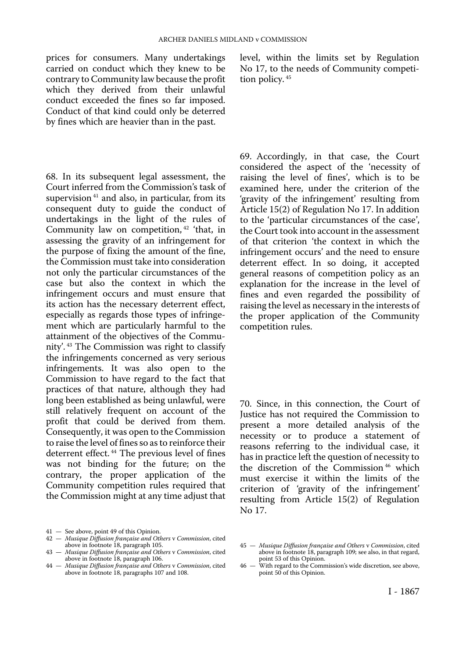prices for consumers. Many undertakings carried on conduct which they knew to be contrary to Community law because the profit which they derived from their unlawful conduct exceeded the fines so far imposed. Conduct of that kind could only be deterred by fines which are heavier than in the past.

68. In its subsequent legal assessment, the Court inferred from the Commission's task of supervision<sup>41</sup> and also, in particular, from its consequent duty to guide the conduct of undertakings in the light of the rules of Community law on competition, 42 'that, in assessing the gravity of an infringement for the purpose of fixing the amount of the fine, the Commission must take into consideration not only the particular circumstances of the case but also the context in which the infringement occurs and must ensure that its action has the necessary deterrent effect, especially as regards those types of infringement which are particularly harmful to the attainment of the objectives of the Community'. 43 The Commission was right to classify the infringements concerned as very serious infringements. It was also open to the Commission to have regard to the fact that practices of that nature, although they had long been established as being unlawful, were still relatively frequent on account of the profit that could be derived from them. Consequently, it was open to the Commission to raise the level of fines so as to reinforce their deterrent effect.<sup>44</sup> The previous level of fines was not binding for the future; on the contrary, the proper application of the Community competition rules required that the Commission might at any time adjust that

- 
- 41 See above, point 49 of this Opinion. 42 *Musique Diffusion française and Others* v *Commission*, cited above in footnote 18, paragraph 105.
- 43 *Musique Diffusion française and Others* v *Commission*, cited above in footnote 18, paragraph 106.
- 44 *Musique Diffusion française and Others* v *Commission*, cited above in footnote 18, paragraphs 107 and 108.

level, within the limits set by Regulation No 17, to the needs of Community competition policy.<sup>45</sup>

69. Accordingly, in that case, the Court considered the aspect of the 'necessity of raising the level of fines', which is to be examined here, under the criterion of the 'gravity of the infringement' resulting from Article 15(2) of Regulation No 17. In addition to the 'particular circumstances of the case', the Court took into account in the assessment of that criterion 'the context in which the infringement occurs' and the need to ensure deterrent effect. In so doing, it accepted general reasons of competition policy as an explanation for the increase in the level of fines and even regarded the possibility of raising the level as necessary in the interests of the proper application of the Community competition rules.

70. Since, in this connection, the Court of Justice has not required the Commission to present a more detailed analysis of the necessity or to produce a statement of reasons referring to the individual case, it has in practice left the question of necessity to the discretion of the Commission 46 which must exercise it within the limits of the criterion of 'gravity of the infringement' resulting from Article 15(2) of Regulation No 17.

<sup>45</sup> — *Musique Diffusion française and Others* v *Commission*, cited above in footnote 18, paragraph 109; see also, in that regard, point 53 of this Opinion.

<sup>46</sup> — With regard to the Commission's wide discretion, see above, point 50 of this Opinion.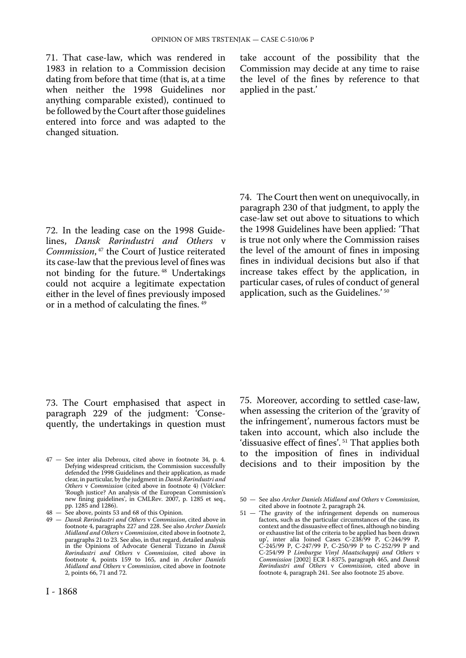71. That case-law, which was rendered in 1983 in relation to a Commission decision dating from before that time (that is, at a time when neither the 1998 Guidelines nor anything comparable existed), continued to be followed by the Court after those guidelines entered into force and was adapted to the changed situation.

take account of the possibility that the Commission may decide at any time to raise the level of the fines by reference to that applied in the past.'

72. In the leading case on the 1998 Guidelines, *Dansk Rørindustri and Others* v *Commission*, 47 the Court of Justice reiterated its case-law that the previous level of fines was not binding for the future. 48 Undertakings could not acquire a legitimate expectation either in the level of fines previously imposed or in a method of calculating the fines.<sup>49</sup>

74. The Court then went on unequivocally, in paragraph 230 of that judgment, to apply the case-law set out above to situations to which the 1998 Guidelines have been applied: 'That is true not only where the Commission raises the level of the amount of fines in imposing fines in individual decisions but also if that increase takes effect by the application, in particular cases, of rules of conduct of general application, such as the Guidelines.' <sup>50</sup>

73. The Court emphasised that aspect in paragraph 229 of the judgment: 'Consequently, the undertakings in question must

I - 1868

75. Moreover, according to settled case-law, when assessing the criterion of the 'gravity of the infringement', numerous factors must be taken into account, which also include the 'dissuasive effect of fines'. 51 That applies both to the imposition of fines in individual decisions and to their imposition by the

<sup>47</sup> — See inter alia Debroux, cited above in footnote 34, p. 4. Defying widespread criticism, the Commission successfully defended the 1998 Guidelines and their application, as made clear, in particular, by the judgment in *Dansk Rørindustri and Others* v *Commission* (cited above in footnote 4) (Völcker: 'Rough justice? An analysis of the European Commission's new fining guidelines', in CMLRev. 2007, p. 1285 et seq., pp. 1285 and 1286).

<sup>48</sup> — See above, points 53 and 68 of this Opinion.

<sup>49</sup> — *Dansk Rørindustri and Others* v *Commission*, cited above in footnote 4, paragraphs 227 and 228. See also *Archer Daniels Midland and Others* v *Commission*, cited above in footnote 2, paragraphs 21 to 23. See also, in that regard, detailed analysis in the Opinions of Advocate General Tizzano in *Dansk Rørindustri and Others* v *Commission*, cited above in footnote 4, points 159 to 165, and in *Archer Daniels Midland and Others* v *Commission*, cited above in footnote 2, points 66, 71 and 72.

<sup>50</sup> — See also *Archer Daniels Midland and Others* v *Commission*, cited above in footnote 2, paragraph 24.

<sup>51</sup> — 'The gravity of the infringement depends on numerous factors, such as the particular circumstances of the case, its context and the dissuasive effect of fines, although no binding or exhaustive list of the criteria to be applied has been drawn up', inter alia Joined Cases C-238/99 P, C-244/99 P, C-245/99 P, C-247/99 P, C-250/99 P to C-252/99 P and C-254/99 P *Limburgse Vinyl Maatschappij and Others* v *Commission* [2002] ECR I-8375, paragraph 465, and *Dansk Rørindustri and Others* v *Commission*, cited above in footnote 4, paragraph 241. See also footnote 25 above.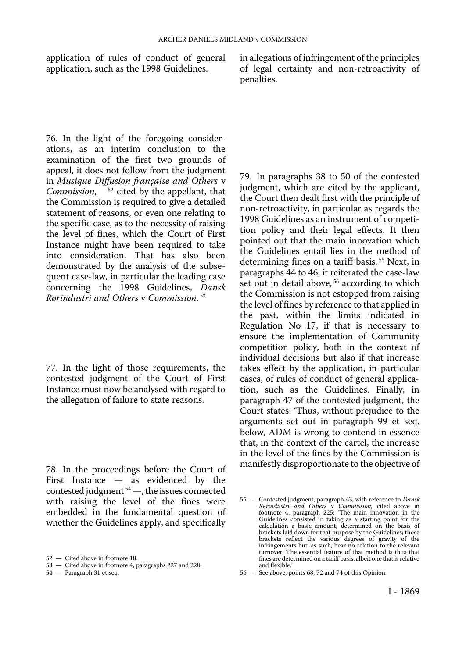application of rules of conduct of general application, such as the 1998 Guidelines.

in allegations of infringement of the principles of legal certainty and non-retroactivity of penalties.

76. In the light of the foregoing considerations, as an interim conclusion to the examination of the first two grounds of appeal, it does not follow from the judgment in *Musique Diffusion française and Others* v *Commission*, 52 cited by the appellant, that the Commission is required to give a detailed statement of reasons, or even one relating to the specific case, as to the necessity of raising the level of fines, which the Court of First Instance might have been required to take into consideration. That has also been demonstrated by the analysis of the subsequent case-law, in particular the leading case concerning the 1998 Guidelines, *Dansk Rørindustri and Others* v *Commission*. 53

77. In the light of those requirements, the contested judgment of the Court of First Instance must now be analysed with regard to the allegation of failure to state reasons.

78. In the proceedings before the Court of First Instance — as evidenced by the contested judgment 54 —, the issues connected with raising the level of the fines were embedded in the fundamental question of whether the Guidelines apply, and specifically

79. In paragraphs 38 to 50 of the contested judgment, which are cited by the applicant, the Court then dealt first with the principle of non-retroactivity, in particular as regards the 1998 Guidelines as an instrument of competition policy and their legal effects. It then pointed out that the main innovation which the Guidelines entail lies in the method of determining fines on a tariff basis. 55 Next, in paragraphs 44 to 46, it reiterated the case-law set out in detail above, <sup>56</sup> according to which the Commission is not estopped from raising the level of fines by reference to that applied in the past, within the limits indicated in Regulation No 17, if that is necessary to ensure the implementation of Community competition policy, both in the context of individual decisions but also if that increase takes effect by the application, in particular cases, of rules of conduct of general application, such as the Guidelines. Finally, in paragraph 47 of the contested judgment, the Court states: 'Thus, without prejudice to the arguments set out in paragraph 99 et seq. below, ADM is wrong to contend in essence that, in the context of the cartel, the increase in the level of the fines by the Commission is manifestly disproportionate to the objective of

<sup>52</sup> — Cited above in footnote 18.

<sup>53</sup> — Cited above in footnote 4, paragraphs 227 and 228.

<sup>54</sup> — Paragraph 31 et seq.

<sup>55</sup> — Contested judgment, paragraph 43, with reference to *Dansk Rørindustri and Others* v *Commission*, cited above in footnote 4, paragraph 225: 'The main innovation in the Guidelines consisted in taking as a starting point for the calculation a basic amount, determined on the basis of brackets laid down for that purpose by the Guidelines; those brackets reflect the various degrees of gravity of the infringements but, as such, bear no relation to the relevant turnover. The essential feature of that method is thus that fines are determined on a tariff basis, albeit one that is relative and flexible.'

<sup>56</sup> — See above, points 68, 72 and 74 of this Opinion.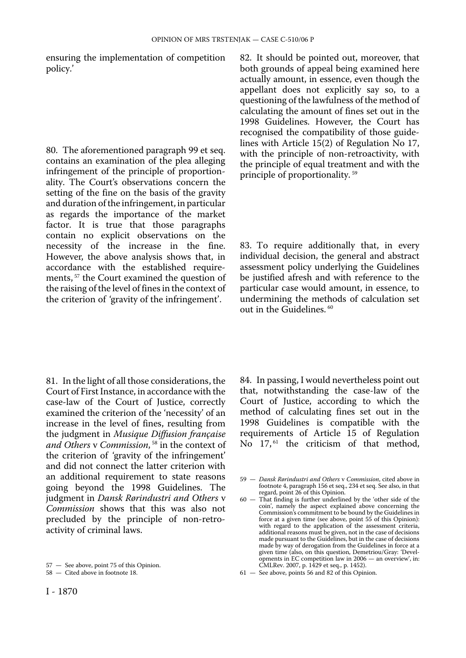ensuring the implementation of competition policy.'

80. The aforementioned paragraph 99 et seq. contains an examination of the plea alleging infringement of the principle of proportionality. The Court's observations concern the setting of the fine on the basis of the gravity and duration of the infringement, in particular as regards the importance of the market factor. It is true that those paragraphs contain no explicit observations on the necessity of the increase in the fine. However, the above analysis shows that, in accordance with the established requirements, 57 the Court examined the question of the raising of the level of fines in the context of the criterion of 'gravity of the infringement'.

81. In the light of all those considerations, the Court of First Instance, in accordance with the case-law of the Court of Justice, correctly examined the criterion of the 'necessity' of an increase in the level of fines, resulting from the judgment in *Musique Diffusion française and Others* v *Commission*, 58 in the context of the criterion of 'gravity of the infringement' and did not connect the latter criterion with an additional requirement to state reasons going beyond the 1998 Guidelines. The judgment in *Dansk Rørindustri and Others* v *Commission* shows that this was also not precluded by the principle of non-retroactivity of criminal laws.

57 — See above, point 75 of this Opinion.

82. It should be pointed out, moreover, that both grounds of appeal being examined here actually amount, in essence, even though the appellant does not explicitly say so, to a questioning of the lawfulness of the method of calculating the amount of fines set out in the 1998 Guidelines. However, the Court has recognised the compatibility of those guidelines with Article 15(2) of Regulation No 17, with the principle of non-retroactivity, with the principle of equal treatment and with the principle of proportionality. 59

83. To require additionally that, in every individual decision, the general and abstract assessment policy underlying the Guidelines be justified afresh and with reference to the particular case would amount, in essence, to undermining the methods of calculation set out in the Guidelines. 60

84. In passing, I would nevertheless point out that, notwithstanding the case-law of the Court of Justice, according to which the method of calculating fines set out in the 1998 Guidelines is compatible with the requirements of Article 15 of Regulation No 17,<sup>61</sup> the criticism of that method,

<sup>58</sup> — Cited above in footnote 18.

<sup>59</sup> — *Dansk Rørindustri and Others* v *Commission*, cited above in footnote 4, paragraph 156 et seq., 234 et seq. See also, in that regard, point 26 of this Opinion.

<sup>60</sup> — That finding is further underlined by the 'other side of the coin', namely the aspect explained above concerning the Commission's commitment to be bound by the Guidelines in force at a given time (see above, point 55 of this Opinion): with regard to the application of the assessment criteria, additional reasons must be given, not in the case of decisions made pursuant to the Guidelines, but in the case of decisions made by way of derogation from the Guidelines in force at a given time (also, on this question, Demetriou/Gray: 'Developments in EC competition law in 2006 — an overview', in: CMLRev. 2007, p. 1429 et seq., p. 1452).

<sup>61</sup> — See above, points 56 and 82 of this Opinion.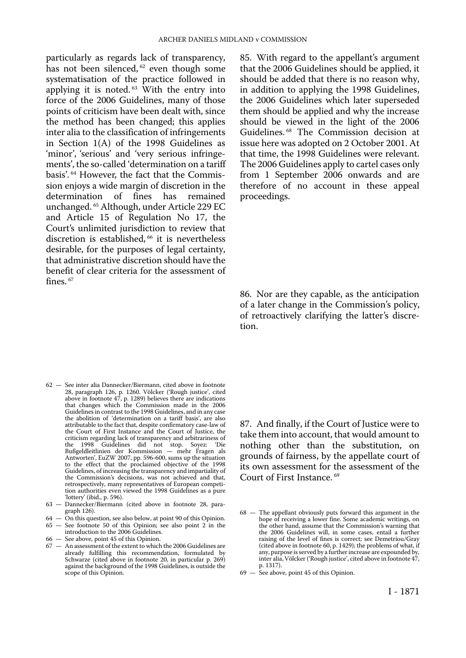particularly as regards lack of transparency, has not been silenced,  $62$  even though some systematisation of the practice followed in applying it is noted. 63 With the entry into force of the 2006 Guidelines, many of those points of criticism have been dealt with, since the method has been changed; this applies inter alia to the classification of infringements in Section 1(A) of the 1998 Guidelines as 'minor', 'serious' and 'very serious infringements', the so-called 'determination on a tariff basis'. 64 However, the fact that the Commission enjoys a wide margin of discretion in the determination of fines has remained determination of fines unchanged. 65 Although, under Article 229 EC and Article 15 of Regulation No 17, the Court's unlimited jurisdiction to review that discretion is established, <sup>66</sup> it is nevertheless desirable, for the purposes of legal certainty, that administrative discretion should have the benefit of clear criteria for the assessment of fines.  $67$ 

- 62 See inter alia Dannecker/Biermann, cited above in footnote 28, paragraph 126, p. 1260. Völcker ('Rough justice', cited above in footnote 47, p. 1289) believes there are indications that changes which the Commission made in the 2006 Guidelines in contrast to the 1998 Guidelines, and in any case the abolition of 'determination on a tariff basis', are also attributable to the fact that, despite confirmatory case-law of the Court of First Instance and the Court of Justice, the criticism regarding lack of transparency and arbitrariness of the 1998 Guidelines did not stop. Soyez: 'Die Bußgeldleitlinien der Kommission — mehr Fragen als Antworten', EuZW 2007, pp. 596-600, sums up the situation to the effect that the proclaimed objective of the 1998 Guidelines, of increasing the transparency and impartiality of the Commission's decisions, was not achieved and that, retrospectively, many representatives of European competition authorities even viewed the 1998 Guidelines as a pure 'lottery' (ibid., p. 596).
- 63 Dannecker/Biermann (cited above in footnote 28, paragraph 126).
- 64 On this question, see also below, at point 90 of this Opinion. 65 — See footnote 50 of this Opinion; see also point 2 in the
- introduction to the 2006 Guidelines. 66 — See above, point 45 of this Opinion.
- 67 An assessment of the extent to which the 2006 Guidelines are already fulfilling this recommendation, formulated by Schwarze (cited above in footnote 20, in particular p. 269) against the background of the 1998 Guidelines, is outside the scope of this Opinion.

85. With regard to the appellant's argument that the 2006 Guidelines should be applied, it should be added that there is no reason why, in addition to applying the 1998 Guidelines, the 2006 Guidelines which later superseded them should be applied and why the increase should be viewed in the light of the 2006 Guidelines. 68 The Commission decision at issue here was adopted on 2 October 2001. At that time, the 1998 Guidelines were relevant. The 2006 Guidelines apply to cartel cases only from 1 September 2006 onwards and are therefore of no account in these appeal proceedings.

86. Nor are they capable, as the anticipation of a later change in the Commission's policy, of retroactively clarifying the latter's discretion.

87. And finally, if the Court of Justice were to take them into account, that would amount to nothing other than the substitution, on grounds of fairness, by the appellate court of its own assessment for the assessment of the Court of First Instance. 69

69 — See above, point 45 of this Opinion.

<sup>68</sup> — The appellant obviously puts forward this argument in the hope of receiving a lower fine. Some academic writings, on the other hand, assume that the Commission's warning that the 2006 Guidelines will, in some cases, entail a further raising of the level of fines is correct; see Demetriou/Gray (cited above in footnote 60, p. 1429); the problems of what, if any, purpose is served by a further increase are expounded by, inter alia, Völcker ('Rough justice', cited above in footnote 47, p. 1317).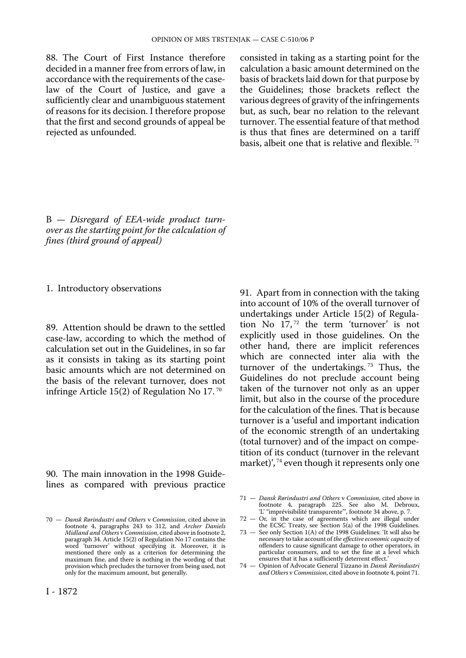88. The Court of First Instance therefore decided in a manner free from errors of law, in accordance with the requirements of the caselaw of the Court of Justice, and gave a sufficiently clear and unambiguous statement of reasons for its decision. I therefore propose that the first and second grounds of appeal be rejected as unfounded.

consisted in taking as a starting point for the calculation a basic amount determined on the basis of brackets laid down for that purpose by the Guidelines; those brackets reflect the various degrees of gravity of the infringements but, as such, bear no relation to the relevant turnover. The essential feature of that method is thus that fines are determined on a tariff basis, albeit one that is relative and flexible.<sup>71</sup>

B — *Disregard of EEA-wide product turnover as the starting point for the calculation of fines (third ground of appeal)* 

1. Introductory observations

89. Attention should be drawn to the settled case-law, according to which the method of calculation set out in the Guidelines, in so far as it consists in taking as its starting point basic amounts which are not determined on the basis of the relevant turnover, does not infringe Article 15(2) of Regulation No 17. 70

90. The main innovation in the 1998 Guidelines as compared with previous practice 91. Apart from in connection with the taking into account of 10% of the overall turnover of undertakings under Article 15(2) of Regulation No 17,<sup>72</sup> the term 'turnover' is not explicitly used in those guidelines. On the other hand, there are implicit references which are connected inter alia with the turnover of the undertakings.<sup>73</sup> Thus, the Guidelines do not preclude account being taken of the turnover not only as an upper limit, but also in the course of the procedure for the calculation of the fines. That is because turnover is a 'useful and important indication of the economic strength of an undertaking (total turnover) and of the impact on competition of its conduct (turnover in the relevant market)', <sup>74</sup> even though it represents only one

<sup>70</sup> — *Dansk Rørindustri and Others* v *Commission*, cited above in footnote 4, paragraphs 243 to 312, and *Archer Daniels Midland and Others* v *Commission*, cited above in footnote 2, paragraph 34. Article 15(2) of Regulation No 17 contains the word 'turnover' without specifying it. Moreover, it is mentioned there only as a criterion for determining the maximum fine, and there is nothing in the wording of that provision which precludes the turnover from being used, not only for the maximum amount, but generally.

<sup>71</sup> — *Dansk Rørindustri and Others* v *Commission*, cited above in footnote 4, paragraph 225. See also M. Debroux, 'L' "imprévisibilité transparente"', footnote 34 above, p. 7.

<sup>72</sup> — Or, in the case of agreements which are illegal under the ECSC Treaty, see Section 5(a) of the 1998 Guidelines.

<sup>73</sup> — See only Section 1(A) of the 1998 Guidelines: 'It will also be necessary to take account of *the effective economic capacity* of offenders to cause significant damage to other operators, in particular consumers, and to set the fine at a level which ensures that it has a sufficiently deterrent effect.'

<sup>74</sup> — Opinion of Advocate General Tizzano in *Dansk Rørindustri and Others* v *Commission*, cited above in footnote 4, point 71.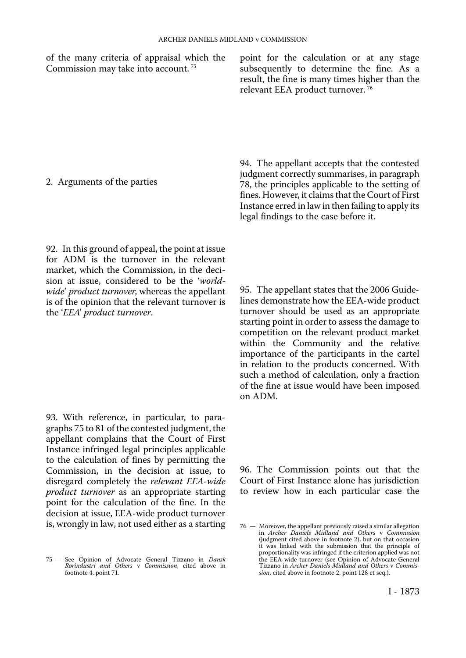of the many criteria of appraisal which the point for the calculation or at any stage Commission may take into account.<sup>75</sup> subsequently to determine the fine. As a subsequently to determine the fine. As a result, the fine is many times higher than the relevant EEA product turnover. 76

2. Arguments of the parties

92. In this ground of appeal, the point at issue for ADM is the turnover in the relevant market, which the Commission, in the decision at issue, considered to be the '*worldwide*' *product turnover*, whereas the appellant is of the opinion that the relevant turnover is the '*EEA*' *product turnover*.

93. With reference, in particular, to paragraphs 75 to 81 of the contested judgment, the appellant complains that the Court of First Instance infringed legal principles applicable to the calculation of fines by permitting the Commission, in the decision at issue, to disregard completely the *relevant EEA-wide product turnover* as an appropriate starting point for the calculation of the fine. In the decision at issue, EEA-wide product turnover is, wrongly in law, not used either as a starting

94. The appellant accepts that the contested judgment correctly summarises, in paragraph 78, the principles applicable to the setting of fines. However, it claims that the Court of First Instance erred in law in then failing to apply its legal findings to the case before it.

95. The appellant states that the 2006 Guidelines demonstrate how the EEA-wide product turnover should be used as an appropriate starting point in order to assess the damage to competition on the relevant product market within the Community and the relative importance of the participants in the cartel in relation to the products concerned. With such a method of calculation, only a fraction of the fine at issue would have been imposed on ADM.

96. The Commission points out that the Court of First Instance alone has jurisdiction to review how in each particular case the

<sup>75</sup> — See Opinion of Advocate General Tizzano in *Dansk Rørindustri and Others* v *Commission*, cited above in footnote 4, point 71.

<sup>76</sup> — Moreover, the appellant previously raised a similar allegation in *Archer Daniels Midland and Others* v *Commission*  (judgment cited above in footnote 2), but on that occasion it was linked with the submission that the principle of proportionality was infringed if the criterion applied was not the EEA-wide turnover (see Opinion of Advocate General Tizzano in *Archer Daniels Midland and Others* v *Commission*, cited above in footnote 2, point 128 et seq.).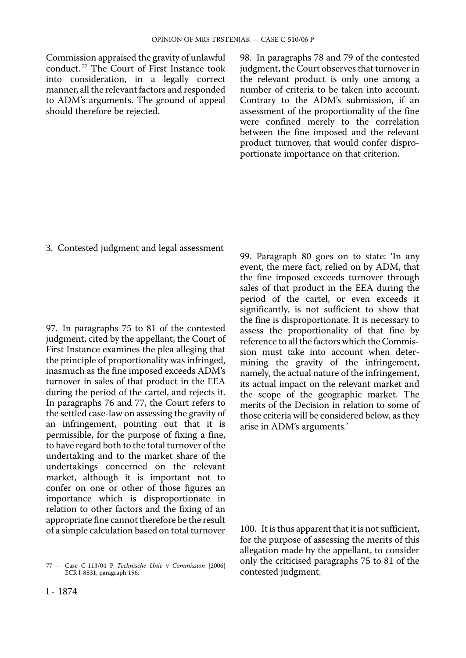Commission appraised the gravity of unlawful conduct. 77 The Court of First Instance took into consideration, in a legally correct manner, all the relevant factors and responded to ADM's arguments. The ground of appeal should therefore be rejected.

98. In paragraphs 78 and 79 of the contested judgment, the Court observes that turnover in the relevant product is only one among a number of criteria to be taken into account. Contrary to the ADM's submission, if an assessment of the proportionality of the fine were confined merely to the correlation between the fine imposed and the relevant product turnover, that would confer disproportionate importance on that criterion.

3. Contested judgment and legal assessment

97. In paragraphs 75 to 81 of the contested judgment, cited by the appellant, the Court of First Instance examines the plea alleging that the principle of proportionality was infringed, inasmuch as the fine imposed exceeds ADM's turnover in sales of that product in the EEA during the period of the cartel, and rejects it. In paragraphs 76 and 77, the Court refers to the settled case-law on assessing the gravity of an infringement, pointing out that it is permissible, for the purpose of fixing a fine, to have regard both to the total turnover of the undertaking and to the market share of the undertakings concerned on the relevant market, although it is important not to confer on one or other of those figures an importance which is disproportionate in relation to other factors and the fixing of an appropriate fine cannot therefore be the result of a simple calculation based on total turnover

99. Paragraph 80 goes on to state: 'In any event, the mere fact, relied on by ADM, that the fine imposed exceeds turnover through sales of that product in the EEA during the period of the cartel, or even exceeds it significantly, is not sufficient to show that the fine is disproportionate. It is necessary to assess the proportionality of that fine by reference to all the factors which the Commission must take into account when determining the gravity of the infringement, namely, the actual nature of the infringement, its actual impact on the relevant market and the scope of the geographic market. The merits of the Decision in relation to some of those criteria will be considered below, as they arise in ADM's arguments.'

100. It is thus apparent that it is not sufficient, for the purpose of assessing the merits of this allegation made by the appellant, to consider only the criticised paragraphs 75 to 81 of the contested judgment.

<sup>77</sup> — Case C-113/04 P *Technische Unie* v *Commission* [2006] ECR I-8831, paragraph 196.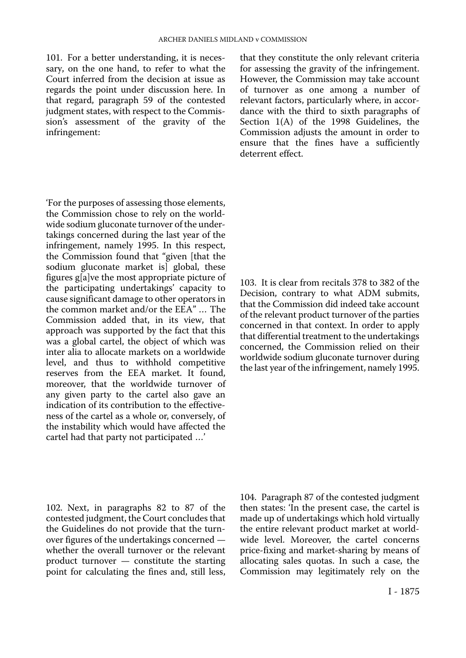101. For a better understanding, it is necessary, on the one hand, to refer to what the Court inferred from the decision at issue as regards the point under discussion here. In that regard, paragraph 59 of the contested judgment states, with respect to the Commission's assessment of the gravity of the infringement:

'For the purposes of assessing those elements, the Commission chose to rely on the worldwide sodium gluconate turnover of the undertakings concerned during the last year of the infringement, namely 1995. In this respect, the Commission found that "given [that the sodium gluconate market is global, these figures g[a]ve the most appropriate picture of the participating undertakings' capacity to cause significant damage to other operators in the common market and/or the EEA" … The Commission added that, in its view, that approach was supported by the fact that this was a global cartel, the object of which was inter alia to allocate markets on a worldwide level, and thus to withhold competitive reserves from the EEA market. It found, moreover, that the worldwide turnover of any given party to the cartel also gave an indication of its contribution to the effectiveness of the cartel as a whole or, conversely, of the instability which would have affected the cartel had that party not participated …'

that they constitute the only relevant criteria for assessing the gravity of the infringement. However, the Commission may take account of turnover as one among a number of relevant factors, particularly where, in accordance with the third to sixth paragraphs of Section 1(A) of the 1998 Guidelines, the Commission adjusts the amount in order to ensure that the fines have a sufficiently deterrent effect.

103. It is clear from recitals 378 to 382 of the Decision, contrary to what ADM submits, that the Commission did indeed take account of the relevant product turnover of the parties concerned in that context. In order to apply that differential treatment to the undertakings concerned, the Commission relied on their worldwide sodium gluconate turnover during the last year of the infringement, namely 1995.

102. Next, in paragraphs 82 to 87 of the contested judgment, the Court concludes that the Guidelines do not provide that the turnover figures of the undertakings concerned whether the overall turnover or the relevant product turnover — constitute the starting point for calculating the fines and, still less,

104. Paragraph 87 of the contested judgment then states: 'In the present case, the cartel is made up of undertakings which hold virtually the entire relevant product market at worldwide level. Moreover, the cartel concerns price-fixing and market-sharing by means of allocating sales quotas. In such a case, the Commission may legitimately rely on the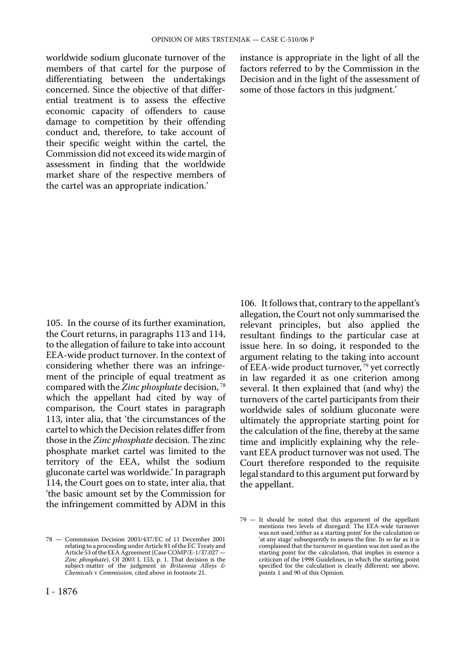worldwide sodium gluconate turnover of the members of that cartel for the purpose of differentiating between the undertakings concerned. Since the objective of that differential treatment is to assess the effective economic capacity of offenders to cause damage to competition by their offending conduct and, therefore, to take account of their specific weight within the cartel, the Commission did not exceed its wide margin of assessment in finding that the worldwide market share of the respective members of the cartel was an appropriate indication.'

instance is appropriate in the light of all the factors referred to by the Commission in the Decision and in the light of the assessment of some of those factors in this judgment.'

105. In the course of its further examination, the Court returns, in paragraphs 113 and 114, to the allegation of failure to take into account EEA-wide product turnover. In the context of considering whether there was an infringement of the principle of equal treatment as compared with the *Zinc phosphate* decision, 78 which the appellant had cited by way of comparison, the Court states in paragraph 113, inter alia, that 'the circumstances of the cartel to which the Decision relates differ from those in the *Zinc phosphate* decision. The zinc phosphate market cartel was limited to the territory of the EEA, whilst the sodium gluconate cartel was worldwide.' In paragraph 114, the Court goes on to state, inter alia, that 'the basic amount set by the Commission for the infringement committed by ADM in this

78 — Commission Decision 2003/437/EC of 11 December 2001 relating to a proceeding under Article 81 of the EC Treaty and Article 53 of the EEA Agreement (Case COMP/E-1/37.027 — *Zinc phosphate*), OJ 2003 L 153, p. 1. That decision is the subject-matter of the judgment in *Britannia Alloys & Chemicals* v *Commission*, cited above in footnote 21.

106. It follows that, contrary to the appellant's allegation, the Court not only summarised the relevant principles, but also applied the resultant findings to the particular case at issue here. In so doing, it responded to the argument relating to the taking into account of EEA-wide product turnover, 79 yet correctly in law regarded it as one criterion among several. It then explained that (and why) the turnovers of the cartel participants from their worldwide sales of soldium gluconate were ultimately the appropriate starting point for the calculation of the fine, thereby at the same time and implicitly explaining why the relevant EEA product turnover was not used. The Court therefore responded to the requisite legal standard to this argument put forward by the appellant.

<sup>79</sup> — It should be noted that this argument of the appellant mentions two levels of disregard: The EEA-wide turnover was not used,'either as a starting point' for the calculation or 'at any stage' subsequently to assess the fine. In so far as it is complained that the turnover in question was not used as the starting point for the calculation, that implies in essence a criticism of the 1998 Guidelines, in which the starting point specified for the calculation is clearly different; see above, points 1 and 90 of this Opinion.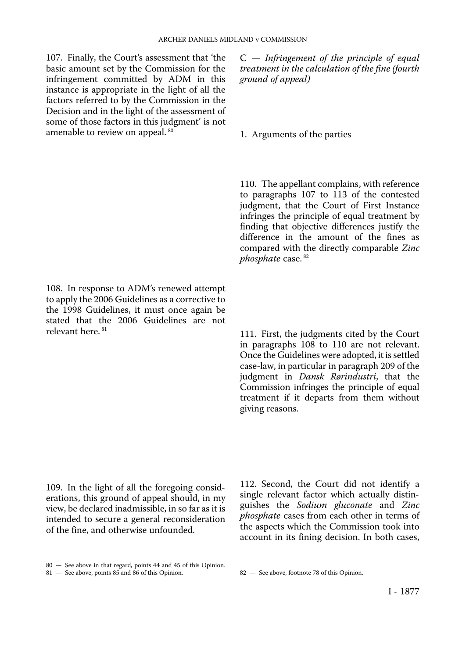107. Finally, the Court's assessment that 'the basic amount set by the Commission for the infringement committed by ADM in this instance is appropriate in the light of all the factors referred to by the Commission in the Decision and in the light of the assessment of some of those factors in this judgment' is not amenable to review on appeal. 80

108. In response to ADM's renewed attempt to apply the 2006 Guidelines as a corrective to the 1998 Guidelines, it must once again be stated that the 2006 Guidelines are not relevant here. 81

C — *Infringement of the principle of equal treatment in the calculation of the fine (fourth ground of appeal)* 

1. Arguments of the parties

110. The appellant complains, with reference to paragraphs 107 to 113 of the contested judgment, that the Court of First Instance infringes the principle of equal treatment by finding that objective differences justify the difference in the amount of the fines as compared with the directly comparable *Zinc phosphate* case. 82

111. First, the judgments cited by the Court in paragraphs 108 to 110 are not relevant. Once the Guidelines were adopted, it is settled case-law, in particular in paragraph 209 of the judgment in *Dansk Rørindustri*, that the Commission infringes the principle of equal treatment if it departs from them without giving reasons.

109. In the light of all the foregoing considerations, this ground of appeal should, in my view, be declared inadmissible, in so far as it is intended to secure a general reconsideration of the fine, and otherwise unfounded.

112. Second, the Court did not identify a single relevant factor which actually distinguishes the *Sodium gluconate* and *Zinc phosphate* cases from each other in terms of the aspects which the Commission took into account in its fining decision. In both cases,

<sup>80</sup> — See above in that regard, points 44 and 45 of this Opinion.

<sup>81</sup> — See above, points 85 and 86 of this Opinion. 82 — See above, footnote 78 of this Opinion.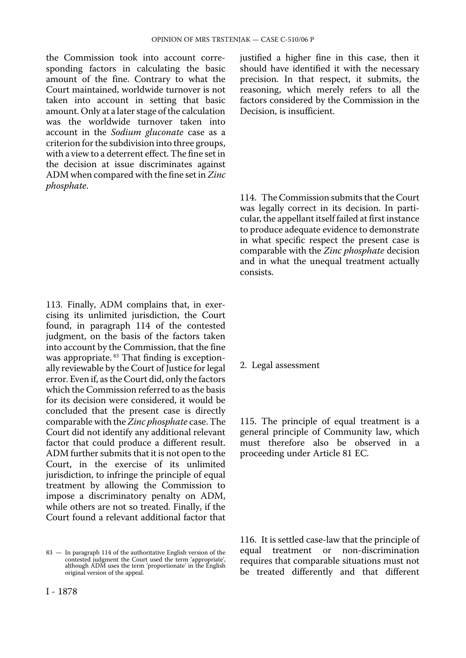the Commission took into account corresponding factors in calculating the basic amount of the fine. Contrary to what the Court maintained, worldwide turnover is not taken into account in setting that basic amount. Only at a later stage of the calculation was the worldwide turnover taken into account in the *Sodium gluconate* case as a criterion for the subdivision into three groups, with a view to a deterrent effect. The fine set in the decision at issue discriminates against ADM when compared with the fine set in *Zinc phosphate*.

113. Finally, ADM complains that, in exercising its unlimited jurisdiction, the Court found, in paragraph 114 of the contested judgment, on the basis of the factors taken into account by the Commission, that the fine was appropriate. <sup>83</sup> That finding is exceptionally reviewable by the Court of Justice for legal error. Even if, as the Court did, only the factors which the Commission referred to as the basis for its decision were considered, it would be concluded that the present case is directly comparable with the *Zinc phosphate* case. The Court did not identify any additional relevant factor that could produce a different result. ADM further submits that it is not open to the Court, in the exercise of its unlimited jurisdiction, to infringe the principle of equal treatment by allowing the Commission to impose a discriminatory penalty on ADM, while others are not so treated. Finally, if the Court found a relevant additional factor that

I - 1878

justified a higher fine in this case, then it should have identified it with the necessary precision. In that respect, it submits, the reasoning, which merely refers to all the factors considered by the Commission in the Decision, is insufficient.

114. The Commission submits that the Court was legally correct in its decision. In particular, the appellant itself failed at first instance to produce adequate evidence to demonstrate in what specific respect the present case is comparable with the *Zinc phosphate* decision and in what the unequal treatment actually consists.

#### 2. Legal assessment

115. The principle of equal treatment is a general principle of Community law, which must therefore also be observed in a proceeding under Article 81 EC.

116. It is settled case-law that the principle of<br>equal treatment or non-discrimination treatment or non-discrimination requires that comparable situations must not be treated differently and that different

<sup>83</sup> — In paragraph 114 of the authoritative English version of the contested judgment the Court used the term 'appropriate', although ADM uses the term 'proportionate' in the English original version of the appeal.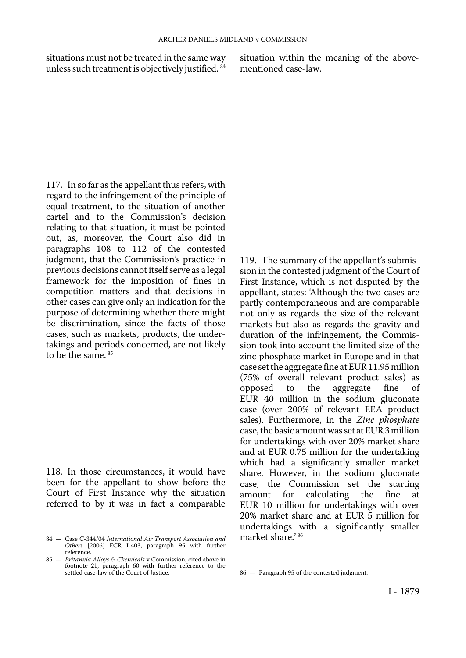situations must not be treated in the same way situation within the meaning of the above-<br>unless such treatment is objectively justified.  $34$  mentioned case-law. unless such treatment is objectively justified. 84

117. In so far as the appellant thus refers, with regard to the infringement of the principle of equal treatment, to the situation of another cartel and to the Commission's decision relating to that situation, it must be pointed out, as, moreover, the Court also did in paragraphs 108 to 112 of the contested judgment, that the Commission's practice in previous decisions cannot itself serve as a legal framework for the imposition of fines in competition matters and that decisions in other cases can give only an indication for the purpose of determining whether there might be discrimination, since the facts of those cases, such as markets, products, the undertakings and periods concerned, are not likely to be the same. 85

118. In those circumstances, it would have been for the appellant to show before the Court of First Instance why the situation referred to by it was in fact a comparable

119. The summary of the appellant's submission in the contested judgment of the Court of First Instance, which is not disputed by the appellant, states: 'Although the two cases are partly contemporaneous and are comparable not only as regards the size of the relevant markets but also as regards the gravity and duration of the infringement, the Commission took into account the limited size of the zinc phosphate market in Europe and in that case set the aggregate fine at EUR 11.95 million (75% of overall relevant product sales) as to the aggregate fine of EUR 40 million in the sodium gluconate case (over 200% of relevant EEA product sales). Furthermore, in the *Zinc phosphate* case, the basic amount was set at EUR 3 million for undertakings with over 20% market share and at EUR 0.75 million for the undertaking which had a significantly smaller market share. However, in the sodium gluconate case, the Commission set the starting calculating EUR 10 million for undertakings with over 20% market share and at EUR 5 million for undertakings with a significantly smaller market share.' <sup>86</sup>

<sup>84</sup> — Case C-344/04 *International Air Transport Association and Others* [2006] ECR I-403, paragraph 95 with further reference.

<sup>85</sup> — *Britannia Alloys & Chemicals* v Commission, cited above in footnote 21, paragraph 60 with further reference to the settled case-law of the Court of Justice.

<sup>86</sup> — Paragraph 95 of the contested judgment.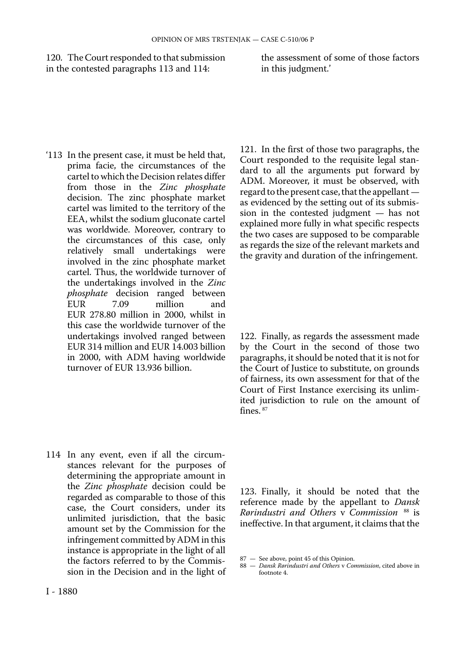120. The Court responded to that submission the assessment of some of those factors in the contested paragraphs 113 and 114: in this judgment.' in the contested paragraphs 113 and 114:

'113 In the present case, it must be held that, prima facie, the circumstances of the cartel to which the Decision relates differ from those in the *Zinc phosphate*  decision. The zinc phosphate market cartel was limited to the territory of the EEA, whilst the sodium gluconate cartel was worldwide. Moreover, contrary to the circumstances of this case, only relatively small undertakings were involved in the zinc phosphate market cartel. Thus, the worldwide turnover of the undertakings involved in the *Zinc phosphate* decision ranged between<br>EUR 7.09 million and EUR 7.09 million and EUR 278.80 million in 2000, whilst in this case the worldwide turnover of the undertakings involved ranged between EUR 314 million and EUR 14.003 billion in 2000, with ADM having worldwide turnover of EUR 13.936 billion.

114 In any event, even if all the circumstances relevant for the purposes of determining the appropriate amount in the *Zinc phosphate* decision could be regarded as comparable to those of this case, the Court considers, under its unlimited jurisdiction, that the basic amount set by the Commission for the infringement committed by ADM in this instance is appropriate in the light of all the factors referred to by the Commission in the Decision and in the light of

121. In the first of those two paragraphs, the Court responded to the requisite legal standard to all the arguments put forward by ADM. Moreover, it must be observed, with regard to the present case, that the appellant as evidenced by the setting out of its submission in the contested judgment — has not explained more fully in what specific respects the two cases are supposed to be comparable as regards the size of the relevant markets and the gravity and duration of the infringement.

122. Finally, as regards the assessment made by the Court in the second of those two paragraphs, it should be noted that it is not for the Court of Justice to substitute, on grounds of fairness, its own assessment for that of the Court of First Instance exercising its unlimited jurisdiction to rule on the amount of fines. 87

123. Finally, it should be noted that the reference made by the appellant to *Dansk Rørindustri and Others* v *Commission* 88 is ineffective. In that argument, it claims that the

<sup>87</sup> — See above, point 45 of this Opinion.

<sup>88</sup> — *Dansk Rørindustri and Others* v *Commission*, cited above in footnote 4.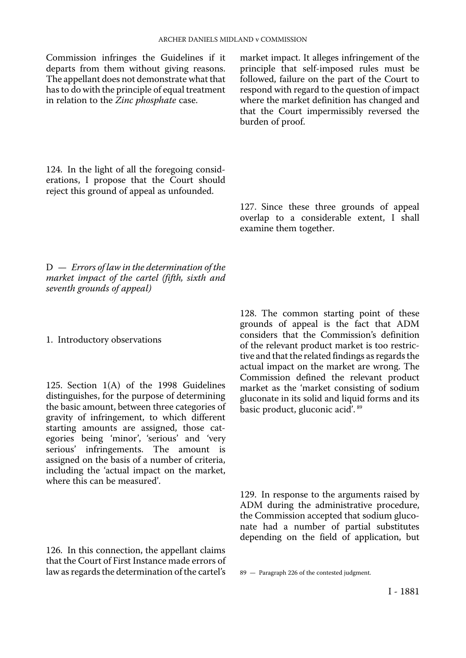Commission infringes the Guidelines if it departs from them without giving reasons. The appellant does not demonstrate what that has to do with the principle of equal treatment in relation to the *Zinc phosphate* case.

market impact. It alleges infringement of the principle that self-imposed rules must be followed, failure on the part of the Court to respond with regard to the question of impact where the market definition has changed and that the Court impermissibly reversed the burden of proof.

124. In the light of all the foregoing considerations, I propose that the Court should reject this ground of appeal as unfounded.

> 127. Since these three grounds of appeal overlap to a considerable extent, I shall examine them together.

D — *Errors of law in the determination of the market impact of the cartel (fifth, sixth and seventh grounds of appeal)* 

1. Introductory observations

125. Section 1(A) of the 1998 Guidelines distinguishes, for the purpose of determining the basic amount, between three categories of gravity of infringement, to which different starting amounts are assigned, those categories being 'minor', 'serious' and 'very serious' infringements. The amount is assigned on the basis of a number of criteria, including the 'actual impact on the market, where this can be measured'.

126. In this connection, the appellant claims that the Court of First Instance made errors of law as regards the determination of the cartel's

128. The common starting point of these grounds of appeal is the fact that ADM considers that the Commission's definition of the relevant product market is too restrictive and that the related findings as regards the actual impact on the market are wrong. The Commission defined the relevant product market as the 'market consisting of sodium gluconate in its solid and liquid forms and its basic product, gluconic acid'. 89

129. In response to the arguments raised by ADM during the administrative procedure, the Commission accepted that sodium gluconate had a number of partial substitutes depending on the field of application, but

<sup>89</sup> — Paragraph 226 of the contested judgment.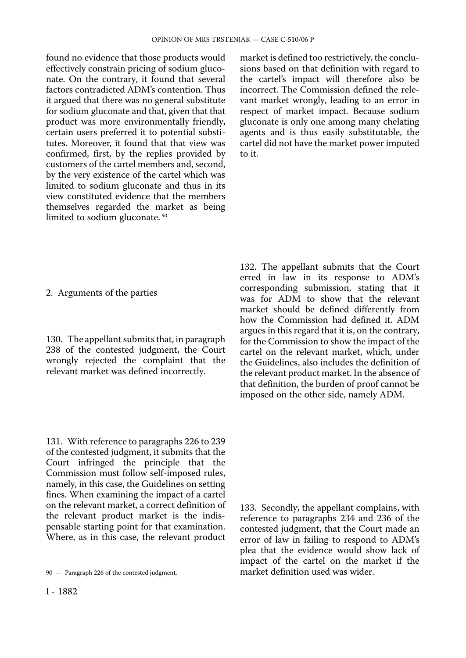found no evidence that those products would effectively constrain pricing of sodium gluconate. On the contrary, it found that several factors contradicted ADM's contention. Thus it argued that there was no general substitute for sodium gluconate and that, given that that product was more environmentally friendly, certain users preferred it to potential substitutes. Moreover, it found that that view was confirmed, first, by the replies provided by customers of the cartel members and, second, by the very existence of the cartel which was limited to sodium gluconate and thus in its view constituted evidence that the members themselves regarded the market as being limited to sodium gluconate.<sup>90</sup>

market is defined too restrictively, the conclusions based on that definition with regard to the cartel's impact will therefore also be incorrect. The Commission defined the relevant market wrongly, leading to an error in respect of market impact. Because sodium gluconate is only one among many chelating agents and is thus easily substitutable, the cartel did not have the market power imputed to it.

2. Arguments of the parties

130. The appellant submits that, in paragraph 238 of the contested judgment, the Court wrongly rejected the complaint that the relevant market was defined incorrectly.

132. The appellant submits that the Court erred in law in its response to ADM's corresponding submission, stating that it was for ADM to show that the relevant market should be defined differently from how the Commission had defined it. ADM argues in this regard that it is, on the contrary, for the Commission to show the impact of the cartel on the relevant market, which, under the Guidelines, also includes the definition of the relevant product market. In the absence of that definition, the burden of proof cannot be imposed on the other side, namely ADM.

131. With reference to paragraphs 226 to 239 of the contested judgment, it submits that the Court infringed the principle that the Commission must follow self-imposed rules, namely, in this case, the Guidelines on setting fines. When examining the impact of a cartel on the relevant market, a correct definition of the relevant product market is the indispensable starting point for that examination. Where, as in this case, the relevant product

133. Secondly, the appellant complains, with reference to paragraphs 234 and 236 of the contested judgment, that the Court made an error of law in failing to respond to ADM's plea that the evidence would show lack of impact of the cartel on the market if the market definition used was wider.

<sup>90</sup> — Paragraph 226 of the contested judgment.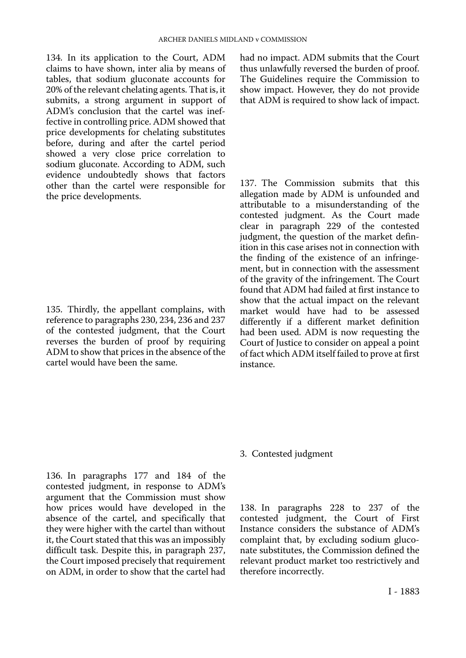134. In its application to the Court, ADM claims to have shown, inter alia by means of tables, that sodium gluconate accounts for 20% of the relevant chelating agents. That is, it submits, a strong argument in support of ADM's conclusion that the cartel was ineffective in controlling price. ADM showed that price developments for chelating substitutes before, during and after the cartel period showed a very close price correlation to sodium gluconate. According to ADM, such evidence undoubtedly shows that factors other than the cartel were responsible for the price developments.

135. Thirdly, the appellant complains, with reference to paragraphs 230, 234, 236 and 237 of the contested judgment, that the Court reverses the burden of proof by requiring ADM to show that prices in the absence of the cartel would have been the same.

had no impact. ADM submits that the Court thus unlawfully reversed the burden of proof. The Guidelines require the Commission to show impact. However, they do not provide that ADM is required to show lack of impact.

137. The Commission submits that this allegation made by ADM is unfounded and attributable to a misunderstanding of the contested judgment. As the Court made clear in paragraph 229 of the contested judgment, the question of the market definition in this case arises not in connection with the finding of the existence of an infringement, but in connection with the assessment of the gravity of the infringement. The Court found that ADM had failed at first instance to show that the actual impact on the relevant market would have had to be assessed differently if a different market definition had been used. ADM is now requesting the Court of Justice to consider on appeal a point of fact which ADM itself failed to prove at first instance.

#### 3. Contested judgment

136. In paragraphs 177 and 184 of the contested judgment, in response to ADM's argument that the Commission must show how prices would have developed in the absence of the cartel, and specifically that they were higher with the cartel than without it, the Court stated that this was an impossibly difficult task. Despite this, in paragraph 237, the Court imposed precisely that requirement on ADM, in order to show that the cartel had

138. In paragraphs 228 to 237 of the contested judgment, the Court of First Instance considers the substance of ADM's complaint that, by excluding sodium gluconate substitutes, the Commission defined the relevant product market too restrictively and therefore incorrectly.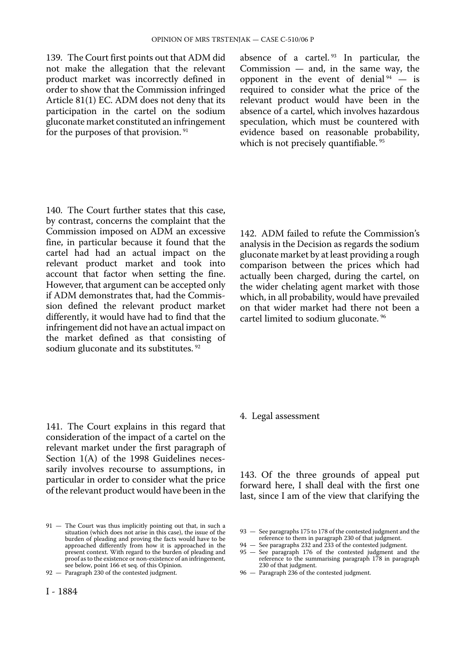139. The Court first points out that ADM did not make the allegation that the relevant product market was incorrectly defined in order to show that the Commission infringed Article 81(1) EC. ADM does not deny that its participation in the cartel on the sodium gluconate market constituted an infringement for the purposes of that provision.<sup>91</sup>

absence of a cartel.  $93$  In particular, the Commission — and, in the same way, the opponent in the event of denial  $94 - is$ required to consider what the price of the relevant product would have been in the absence of a cartel, which involves hazardous speculation, which must be countered with evidence based on reasonable probability, which is not precisely quantifiable.<sup>95</sup>

140. The Court further states that this case, by contrast, concerns the complaint that the Commission imposed on ADM an excessive fine, in particular because it found that the cartel had had an actual impact on the relevant product market and took into account that factor when setting the fine. However, that argument can be accepted only if ADM demonstrates that, had the Commission defined the relevant product market differently, it would have had to find that the infringement did not have an actual impact on the market defined as that consisting of sodium gluconate and its substitutes.<sup>92</sup>

142. ADM failed to refute the Commission's analysis in the Decision as regards the sodium gluconate market by at least providing a rough comparison between the prices which had actually been charged, during the cartel, on the wider chelating agent market with those which, in all probability, would have prevailed on that wider market had there not been a cartel limited to sodium gluconate. 96

141. The Court explains in this regard that consideration of the impact of a cartel on the relevant market under the first paragraph of Section 1(A) of the 1998 Guidelines necessarily involves recourse to assumptions, in particular in order to consider what the price of the relevant product would have been in the 4. Legal assessment

143. Of the three grounds of appeal put forward here, I shall deal with the first one last, since I am of the view that clarifying the

94 — See paragraphs 232 and 233 of the contested judgment.

96 — Paragraph 236 of the contested judgment.

<sup>91</sup> — The Court was thus implicitly pointing out that, in such a situation (which does not arise in this case), the issue of the burden of pleading and proving the facts would have to be approached differently from how it is approached in the present context. With regard to the burden of pleading and proof as to the existence or non-existence of an infringement, see below, point 166 et seq. of this Opinion.

<sup>92 —</sup> Paragraph 230 of the contested judgment.

<sup>93</sup> — See paragraphs 175 to 178 of the contested judgment and the reference to them in paragraph 230 of that judgment.

<sup>95</sup> — See paragraph 176 of the contested judgment and the reference to the summarising paragraph 178 in paragraph 230 of that judgment.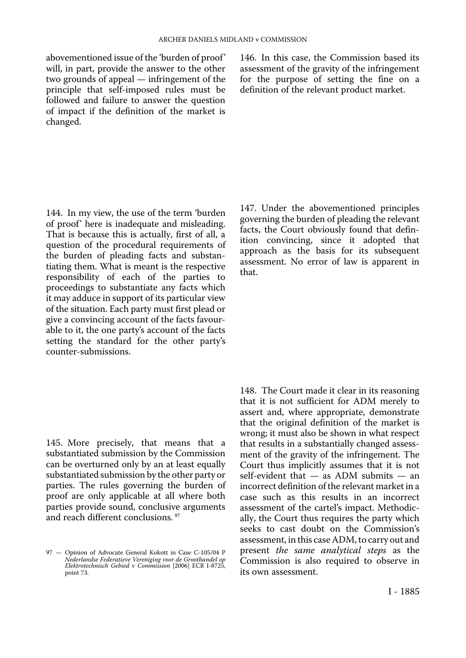abovementioned issue of the 'burden of proof' will, in part, provide the answer to the other two grounds of appeal — infringement of the principle that self-imposed rules must be followed and failure to answer the question of impact if the definition of the market is changed.

146. In this case, the Commission based its assessment of the gravity of the infringement for the purpose of setting the fine on a definition of the relevant product market.

144. In my view, the use of the term 'burden of proof' here is inadequate and misleading. That is because this is actually, first of all, a question of the procedural requirements of the burden of pleading facts and substantiating them. What is meant is the respective responsibility of each of the parties to proceedings to substantiate any facts which it may adduce in support of its particular view of the situation. Each party must first plead or give a convincing account of the facts favourable to it, the one party's account of the facts setting the standard for the other party's counter-submissions.

145. More precisely, that means that a substantiated submission by the Commission can be overturned only by an at least equally substantiated submission by the other party or parties. The rules governing the burden of proof are only applicable at all where both parties provide sound, conclusive arguments and reach different conclusions. 97

97 — Opinion of Advocate General Kokott in Case C-105/04 P *Nederlandse Federatieve Vereniging voor de Groothandel op Elektrotechnisch Gebied* v *Commission* [2006] ECR I-8725, point 73.

147. Under the abovementioned principles governing the burden of pleading the relevant facts, the Court obviously found that definition convincing, since it adopted that approach as the basis for its subsequent assessment. No error of law is apparent in that.

148. The Court made it clear in its reasoning that it is not sufficient for ADM merely to assert and, where appropriate, demonstrate that the original definition of the market is wrong; it must also be shown in what respect that results in a substantially changed assessment of the gravity of the infringement. The Court thus implicitly assumes that it is not self-evident that — as ADM submits — an incorrect definition of the relevant market in a case such as this results in an incorrect assessment of the cartel's impact. Methodically, the Court thus requires the party which seeks to cast doubt on the Commission's assessment, in this case ADM, to carry out and present *the same analytical steps* as the Commission is also required to observe in its own assessment.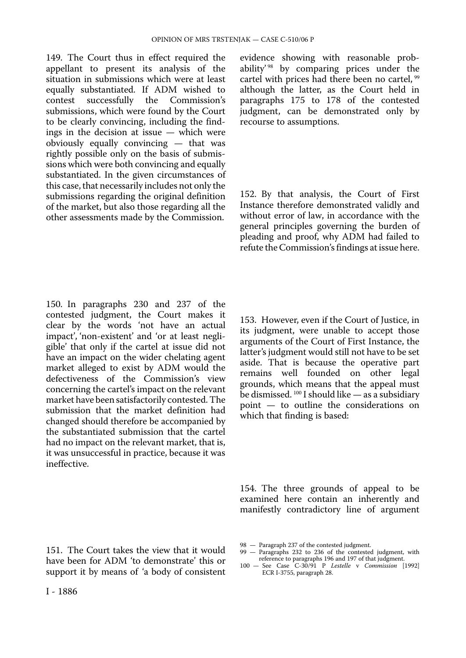149. The Court thus in effect required the appellant to present its analysis of the situation in submissions which were at least equally substantiated. If ADM wished to contest successfully the Commission's submissions, which were found by the Court to be clearly convincing, including the findings in the decision at issue — which were obviously equally convincing — that was rightly possible only on the basis of submissions which were both convincing and equally substantiated. In the given circumstances of this case, that necessarily includes not only the submissions regarding the original definition of the market, but also those regarding all the other assessments made by the Commission.

150. In paragraphs 230 and 237 of the contested judgment, the Court makes it clear by the words 'not have an actual impact', 'non-existent' and 'or at least negligible' that only if the cartel at issue did not have an impact on the wider chelating agent market alleged to exist by ADM would the defectiveness of the Commission's view concerning the cartel's impact on the relevant market have been satisfactorily contested. The submission that the market definition had changed should therefore be accompanied by the substantiated submission that the cartel had no impact on the relevant market, that is, it was unsuccessful in practice, because it was ineffective.

evidence showing with reasonable probability<sup>' 98</sup> by comparing prices under the cartel with prices had there been no cartel, <sup>99</sup> although the latter, as the Court held in paragraphs 175 to 178 of the contested judgment, can be demonstrated only by recourse to assumptions.

152. By that analysis, the Court of First Instance therefore demonstrated validly and without error of law, in accordance with the general principles governing the burden of pleading and proof, why ADM had failed to refute the Commission's findings at issue here.

153. However, even if the Court of Justice, in its judgment, were unable to accept those arguments of the Court of First Instance, the latter's judgment would still not have to be set aside. That is because the operative part remains well founded on other legal grounds, which means that the appeal must be dismissed.  $100$  I should like  $-$  as a subsidiary point — to outline the considerations on which that finding is based:

154. The three grounds of appeal to be examined here contain an inherently and manifestly contradictory line of argument

151. The Court takes the view that it would have been for ADM 'to demonstrate' this or support it by means of 'a body of consistent

- 99 Paragraphs 232 to 236 of the contested judgment, with reference to paragraphs 196 and 197 of that judgment.
- 100 See Case C-30/91 P *Lestelle* v *Commission* [1992] ECR I-3755, paragraph 28.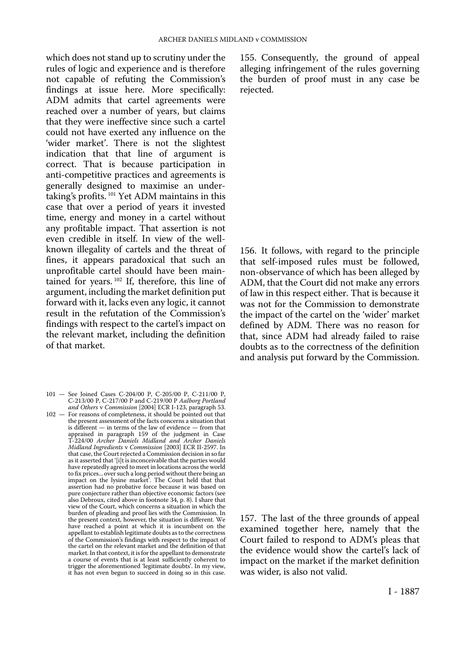which does not stand up to scrutiny under the rules of logic and experience and is therefore not capable of refuting the Commission's findings at issue here. More specifically: ADM admits that cartel agreements were reached over a number of years, but claims that they were ineffective since such a cartel could not have exerted any influence on the 'wider market'. There is not the slightest indication that that line of argument is correct. That is because participation in anti-competitive practices and agreements is generally designed to maximise an undertaking's profits. 101 Yet ADM maintains in this case that over a period of years it invested time, energy and money in a cartel without any profitable impact. That assertion is not even credible in itself. In view of the wellknown illegality of cartels and the threat of fines, it appears paradoxical that such an unprofitable cartel should have been maintained for years. 102 If, therefore, this line of argument, including the market definition put forward with it, lacks even any logic, it cannot result in the refutation of the Commission's findings with respect to the cartel's impact on the relevant market, including the definition of that market.

- 101 See Joined Cases C-204/00 P, C-205/00 P, C-211/00 P, C-213/00 P, C-217/00 P and C-219/00 P *Aalborg Portland and Others* v *Commission* [2004] ECR I-123, paragraph 53.
- 102 For reasons of completeness, it should be pointed out that the present assessment of the facts concerns a situation that is different — in terms of the law of evidence — from that appraised in paragraph 159 of the judgment in Case T-224/00 *Archer Daniels Midland and Archer Daniels Midland Ingredients* v *Commission* [2003] ECR II-2597. In that case, the Court rejected a Commission decision in so far as it asserted that '[i]t is inconceivable that the parties would have repeatedly agreed to meet in locations across the world to fix prices... over such a long period without there being an impact on the lysine market'. The Court held that that assertion had no probative force because it was based on pure conjecture rather than objective economic factors (see also Debroux, cited above in footnote 34, p. 8). I share that view of the Court, which concerns a situation in which the burden of pleading and proof lies with the Commission. In the present context, however, the situation is different. We have reached a point at which it is incumbent on the appellant to establish legitimate doubts as to the correctness of the Commission's findings with respect to the impact of the cartel on the relevant market and the definition of that market. In that context, it is for the appellant to demonstrate a course of events that is at least sufficiently coherent to trigger the aforementioned 'legitimate doubts'. In my view, it has not even begun to succeed in doing so in this case.

155. Consequently, the ground of appeal alleging infringement of the rules governing the burden of proof must in any case be rejected.

156. It follows, with regard to the principle that self-imposed rules must be followed, non-observance of which has been alleged by ADM, that the Court did not make any errors of law in this respect either. That is because it was not for the Commission to demonstrate the impact of the cartel on the 'wider' market defined by ADM. There was no reason for that, since ADM had already failed to raise doubts as to the correctness of the definition and analysis put forward by the Commission.

157. The last of the three grounds of appeal examined together here, namely that the Court failed to respond to ADM's pleas that the evidence would show the cartel's lack of impact on the market if the market definition was wider, is also not valid.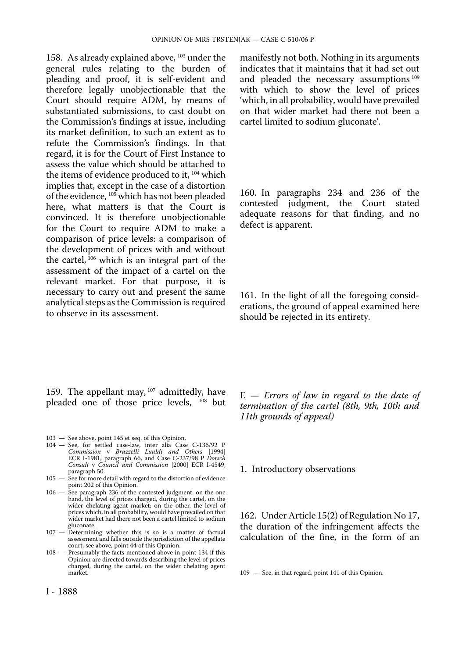158. As already explained above, 103 under the general rules relating to the burden of pleading and proof, it is self-evident and therefore legally unobjectionable that the Court should require ADM, by means of substantiated submissions, to cast doubt on the Commission's findings at issue, including its market definition, to such an extent as to refute the Commission's findings. In that regard, it is for the Court of First Instance to assess the value which should be attached to the items of evidence produced to it, 104 which implies that, except in the case of a distortion of the evidence, 105 which has not been pleaded here, what matters is that the Court is convinced. It is therefore unobjectionable for the Court to require ADM to make a comparison of price levels: a comparison of the development of prices with and without the cartel, 106 which is an integral part of the assessment of the impact of a cartel on the relevant market. For that purpose, it is necessary to carry out and present the same analytical steps as the Commission is required to observe in its assessment.

manifestly not both. Nothing in its arguments indicates that it maintains that it had set out and pleaded the necessary assumptions 109 with which to show the level of prices 'which, in all probability, would have prevailed on that wider market had there not been a cartel limited to sodium gluconate'.

160. In paragraphs 234 and 236 of the contested judgment, the Court stated adequate reasons for that finding, and no defect is apparent.

161. In the light of all the foregoing considerations, the ground of appeal examined here should be rejected in its entirety.

159. The appellant may,  $107$  admittedly, have pleaded one of those price levels, <sup>108</sup> but

- 103 See above, point 145 et seq. of this Opinion.
- 104 See, for settled case-law, inter alia Case C-136/92 P *Commission* v *Brazzelli Lualdi and Others* [1994] ECR I-1981, paragraph 66, and Case C-237/98 P *Dorsch Consult* v *Council and Commission* [2000] ECR I-4549, paragraph 50.
- 105 See for more detail with regard to the distortion of evidence point 202 of this Opinion.
- 106 See paragraph 236 of the contested judgment: on the one hand, the level of prices charged, during the cartel, on the wider chelating agent market; on the other, the level of prices which, in all probability, would have prevailed on that wider market had there not been a cartel limited to sodium gluconate.
- 107 Determining whether this is so is a matter of factual assessment and falls outside the jurisdiction of the appellate court; see above, point 44 of this Opinion.
- 108 Presumably the facts mentioned above in point 134 if this Opinion are directed towards describing the level of prices charged, during the cartel, on the wider chelating agent market.

I - 1888

E — *Errors of law in regard to the date of termination of the cartel (8th, 9th, 10th and 11th grounds of appeal)* 

1. Introductory observations

162. Under Article 15(2) of Regulation No 17, the duration of the infringement affects the calculation of the fine, in the form of an

109 — See, in that regard, point 141 of this Opinion.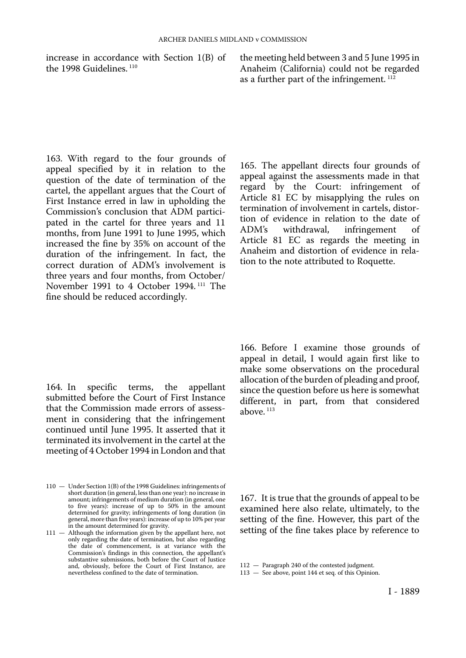increase in accordance with Section 1(B) of the 1998 Guidelines.<sup>110</sup>

the meeting held between 3 and 5 June 1995 in Anaheim (California) could not be regarded as a further part of the infringement. 112

163. With regard to the four grounds of appeal specified by it in relation to the question of the date of termination of the cartel, the appellant argues that the Court of First Instance erred in law in upholding the Commission's conclusion that ADM participated in the cartel for three years and 11 months, from June 1991 to June 1995, which increased the fine by 35% on account of the duration of the infringement. In fact, the correct duration of ADM's involvement is three years and four months, from October/ November 1991 to 4 October 1994. 111 The fine should be reduced accordingly.

164. In specific terms, the appellant submitted before the Court of First Instance that the Commission made errors of assessment in considering that the infringement continued until June 1995. It asserted that it terminated its involvement in the cartel at the meeting of 4 October 1994 in London and that

165. The appellant directs four grounds of appeal against the assessments made in that regard by the Court: infringement of Article 81 EC by misapplying the rules on termination of involvement in cartels, distortion of evidence in relation to the date of<br>ADM's withdrawal, infringement of infringement Article 81 EC as regards the meeting in Anaheim and distortion of evidence in relation to the note attributed to Roquette.

166. Before I examine those grounds of appeal in detail, I would again first like to make some observations on the procedural allocation of the burden of pleading and proof, since the question before us here is somewhat different, in part, from that considered above. 113

167. It is true that the grounds of appeal to be examined here also relate, ultimately, to the setting of the fine. However, this part of the setting of the fine takes place by reference to

<sup>110</sup> — Under Section 1(B) of the 1998 Guidelines: infringements of short duration (in general, less than one year): no increase in amount; infringements of medium duration (in general, one to five years): increase of up to 50% in the amount determined for gravity; infringements of long duration (in general, more than five years): increase of up to 10% per year in the amount determined for gravity.

<sup>111 -</sup> Although the information given by the appellant here, not only regarding the date of termination, but also regarding the date of commencement, is at variance with the Commission's findings in this connection, the appellant's substantive submissions, both before the Court of Justice and, obviously, before the Court of First Instance, are nevertheless confined to the date of termination.

<sup>112</sup> — Paragraph 240 of the contested judgment.

<sup>113</sup> — See above, point 144 et seq. of this Opinion.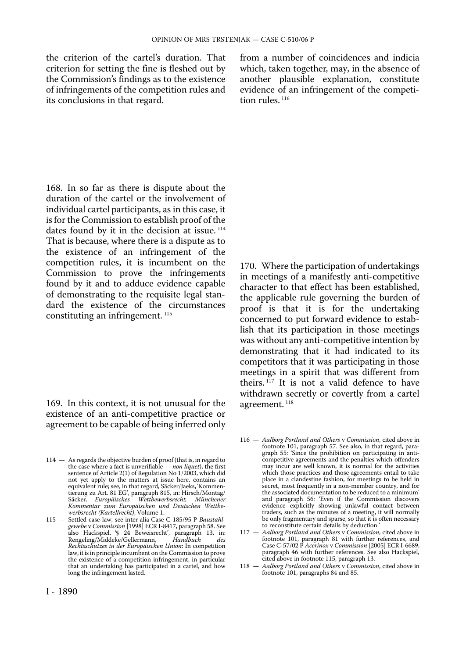the criterion of the cartel's duration. That criterion for setting the fine is fleshed out by the Commission's findings as to the existence of infringements of the competition rules and its conclusions in that regard.

from a number of coincidences and indicia which, taken together, may, in the absence of another plausible explanation, constitute evidence of an infringement of the competition rules.<sup>116</sup>

168. In so far as there is dispute about the duration of the cartel or the involvement of individual cartel participants, as in this case, it is for the Commission to establish proof of the dates found by it in the decision at issue.<sup>114</sup> That is because, where there is a dispute as to the existence of an infringement of the competition rules, it is incumbent on the Commission to prove the infringements found by it and to adduce evidence capable of demonstrating to the requisite legal standard the existence of the circumstances constituting an infringement.<sup>115</sup>

169. In this context, it is not unusual for the existence of an anti-competitive practice or agreement to be capable of being inferred only

114 - As regards the objective burden of proof (that is, in regard to the case where a fact is unverifiable — *non liquet*), the first sentence of Article 2(1) of Regulation No 1/2003, which did not yet apply to the matters at issue here, contains an equivalent rule; see, in that regard, Säcker/Jaeks, 'Kommentierung zu Art. 81 EG', paragraph 815, in: Hirsch/Montag/ Säcker, *Europäisches Wettbewerbsrecht, Münchener Kommentar zum Europäischen und Deutschen Wettbewerbsrecht (Kartellrecht)*, Volume 1.

115 — Settled case-law, see inter alia Case C-185/95 P *Baustahlgewebe* v *Commission* [1998] ECR I-8417, paragraph 58. See also Hackspiel, '§ 24 Beweisrecht', paragraph 13, in: Rengeling/Middeke/Gellermann, *Handbuch des Rechtsschutzes in der Europäischen Union*: In competition law, it is in principle incumbent on the Commission to prove the existence of a competition infringement, in particular that an undertaking has participated in a cartel, and how long the infringement lasted.

170. Where the participation of undertakings in meetings of a manifestly anti-competitive character to that effect has been established, the applicable rule governing the burden of proof is that it is for the undertaking concerned to put forward evidence to establish that its participation in those meetings was without any anti-competitive intention by demonstrating that it had indicated to its competitors that it was participating in those meetings in a spirit that was different from theirs.  $117$  It is not a valid defence to have withdrawn secretly or covertly from a cartel agreement.<sup>118</sup>

- 116 *Aalborg Portland and Others* v *Commission*, cited above in footnote 101, paragraph 57. See also, in that regard, paragraph 55: 'Since the prohibition on participating in anti-competitive agreements and the penalties which offenders may incur are well known, it is normal for the activities which those practices and those agreements entail to take place in a clandestine fashion, for meetings to be held in secret, most frequently in a non-member country, and for the associated documentation to be reduced to a minimum' and paragraph 56: 'Even if the Commission discovers evidence explicitly showing unlawful contact between traders, such as the minutes of a meeting, it will normally be only fragmentary and sparse, so that it is often necessary to reconstitute certain details by deduction.'
- 117 *Aalborg Portland and Others* v *Commission*, cited above in footnote 101, paragraph 81 with further references, and Case C-57/02 P *Acerinox* v *Commission* [2005] ECR I-6689, paragraph 46 with further references. See also Hackspiel, cited above in footnote 115, paragraph 13.
- 118 *Aalborg Portland and Others* v *Commission*, cited above in footnote 101, paragraphs 84 and 85.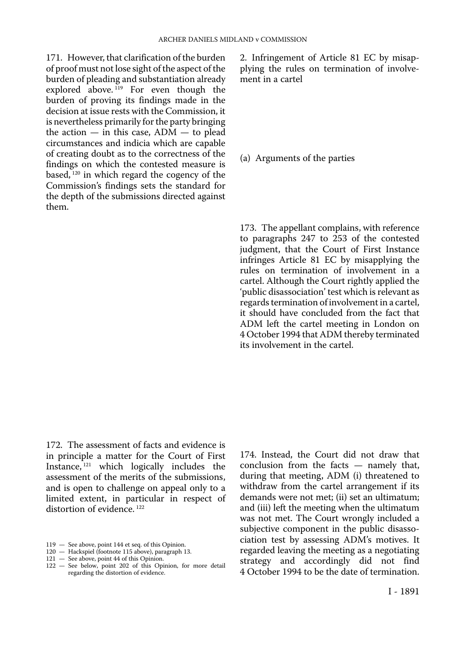171. However, that clarification of the burden of proof must not lose sight of the aspect of the burden of pleading and substantiation already explored above.<sup>119</sup> For even though the burden of proving its findings made in the decision at issue rests with the Commission, it is nevertheless primarily for the party bringing the action  $-$  in this case,  $ADM -$  to plead circumstances and indicia which are capable of creating doubt as to the correctness of the findings on which the contested measure is based, 120 in which regard the cogency of the Commission's findings sets the standard for the depth of the submissions directed against them.

2. Infringement of Article 81 EC by misapplying the rules on termination of involvement in a cartel

(a) Arguments of the parties

173. The appellant complains, with reference to paragraphs 247 to 253 of the contested judgment, that the Court of First Instance infringes Article 81 EC by misapplying the rules on termination of involvement in a cartel. Although the Court rightly applied the 'public disassociation' test which is relevant as regards termination of involvement in a cartel, it should have concluded from the fact that ADM left the cartel meeting in London on 4 October 1994 that ADM thereby terminated its involvement in the cartel.

172. The assessment of facts and evidence is in principle a matter for the Court of First Instance, 121 which logically includes the assessment of the merits of the submissions, and is open to challenge on appeal only to a limited extent, in particular in respect of distortion of evidence.<sup>122</sup>

- 119 See above, point 144 et seq. of this Opinion.
- 120 Hackspiel (footnote 115 above), paragraph 13.
- 121 See above, point 44 of this Opinion.
- 122 See below, point 202 of this Opinion, for more detail regarding the distortion of evidence.

174. Instead, the Court did not draw that conclusion from the facts — namely that, during that meeting, ADM (i) threatened to withdraw from the cartel arrangement if its demands were not met; (ii) set an ultimatum; and (iii) left the meeting when the ultimatum was not met. The Court wrongly included a subjective component in the public disassociation test by assessing ADM's motives. It regarded leaving the meeting as a negotiating strategy and accordingly did not find 4 October 1994 to be the date of termination.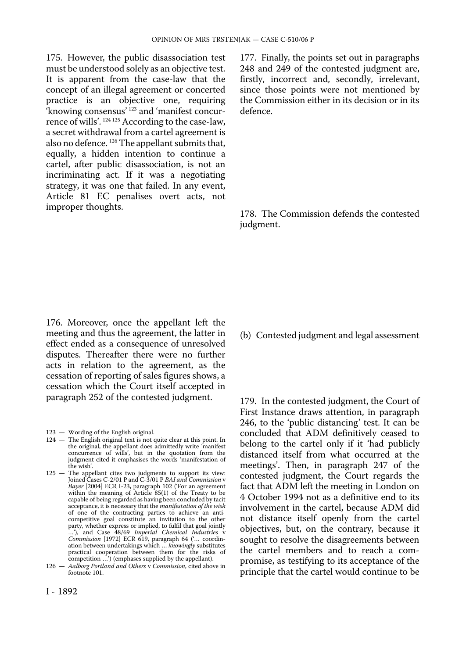175. However, the public disassociation test must be understood solely as an objective test. It is apparent from the case-law that the concept of an illegal agreement or concerted practice is an objective one, requiring 'knowing consensus' 123 and 'manifest concurrence of wills'. 124 125 According to the case-law, a secret withdrawal from a cartel agreement is also no defence. 126 The appellant submits that, equally, a hidden intention to continue a cartel, after public disassociation, is not an incriminating act. If it was a negotiating strategy, it was one that failed. In any event, Article 81 EC penalises overt acts, not improper thoughts.

177. Finally, the points set out in paragraphs 248 and 249 of the contested judgment are, firstly, incorrect and, secondly, irrelevant, since those points were not mentioned by the Commission either in its decision or in its defence.

178. The Commission defends the contested judgment.

176. Moreover, once the appellant left the meeting and thus the agreement, the latter in effect ended as a consequence of unresolved disputes. Thereafter there were no further acts in relation to the agreement, as the cessation of reporting of sales figures shows, a cessation which the Court itself accepted in paragraph 252 of the contested judgment.

123 — Wording of the English original.

- 124 The English original text is not quite clear at this point. In the original, the appellant does admittedly write 'manifest concurrence of wills', but in the quotation from the judgment cited it emphasises the words 'manifestation of the wish'.
- 125 The appellant cites two judgments to support its view: Joined Cases C-2/01 P and C-3/01 P *BAI and Commission* v *Bayer* [2004] ECR I-23, paragraph 102 ('For an agreement within the meaning of Article 85(1) of the Treaty to be capable of being regarded as having been concluded by tacit acceptance, it is necessary that the *manifestation of the wish*  of one of the contracting parties to achieve an anti-competitive goal constitute an invitation to the other party, whether express or implied, to fulfil that goal jointly …'), and Case 48/69 *Imperial Chemical Industries* v *Commission* [1972] ECR 619, paragraph 64 ('… coordination between undertakings which … *knowingly* substitutes practical cooperation between them for the risks of competition …') (emphases supplied by the appellant).
- 126 *Aalborg Portland and Others* v *Commission*, cited above in footnote 101.

#### (b) Contested judgment and legal assessment

179. In the contested judgment, the Court of First Instance draws attention, in paragraph 246, to the 'public distancing' test. It can be concluded that ADM definitively ceased to belong to the cartel only if it 'had publicly distanced itself from what occurred at the meetings'. Then, in paragraph 247 of the contested judgment, the Court regards the fact that ADM left the meeting in London on 4 October 1994 not as a definitive end to its involvement in the cartel, because ADM did not distance itself openly from the cartel objectives, but, on the contrary, because it sought to resolve the disagreements between the cartel members and to reach a compromise, as testifying to its acceptance of the principle that the cartel would continue to be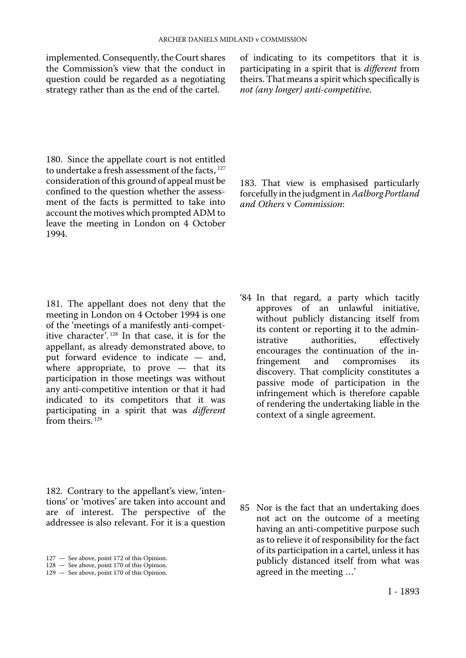question could be regarded as a negotiating theirs. That means a spirit which s<br>strategy rather than as the end of the cartel.  $not$  (any longer) anti-competitive. strategy rather than as the end of the cartel.

180. Since the appellate court is not entitled to undertake a fresh assessment of the facts,  $127$ consideration of this ground of appeal must be confined to the question whether the assessment of the facts is permitted to take into account the motives which prompted ADM to leave the meeting in London on 4 October 1994.

implemented. Consequently, the Court shares of indicating to its competitors that it is the Commission's view that the conduct in participating in a spirit that is *different* from participating in a spirit that is *different* from<br>theirs. That means a spirit which specifically is

> 183. That view is emphasised particularly forcefully in the judgment in *Aalborg Portland and Others* v *Commission*:

181. The appellant does not deny that the meeting in London on 4 October 1994 is one of the 'meetings of a manifestly anti-competitive character'. 128 In that case, it is for the appellant, as already demonstrated above, to put forward evidence to indicate — and, where appropriate, to prove — that its participation in those meetings was without any anti-competitive intention or that it had indicated to its competitors that it was participating in a spirit that was *different*  from theirs.<sup>129</sup>

'84 In that regard, a party which tacitly approves of an unlawful initiative, without publicly distancing itself from its content or reporting it to the administrative authorities, effectively authorities, encourages the continuation of the in-<br>fringement and compromises its compromises discovery. That complicity constitutes a passive mode of participation in the infringement which is therefore capable of rendering the undertaking liable in the context of a single agreement.

182. Contrary to the appellant's view, 'intentions' or 'motives' are taken into account and are of interest. The perspective of the addressee is also relevant. For it is a question

85 Nor is the fact that an undertaking does not act on the outcome of a meeting having an anti-competitive purpose such as to relieve it of responsibility for the fact of its participation in a cartel, unless it has publicly distanced itself from what was agreed in the meeting …'

<sup>127</sup> — See above, point 172 of this Opinion.

<sup>128</sup> — See above, point 170 of this Opinion.

<sup>129 —</sup> See above, point 170 of this Opinion.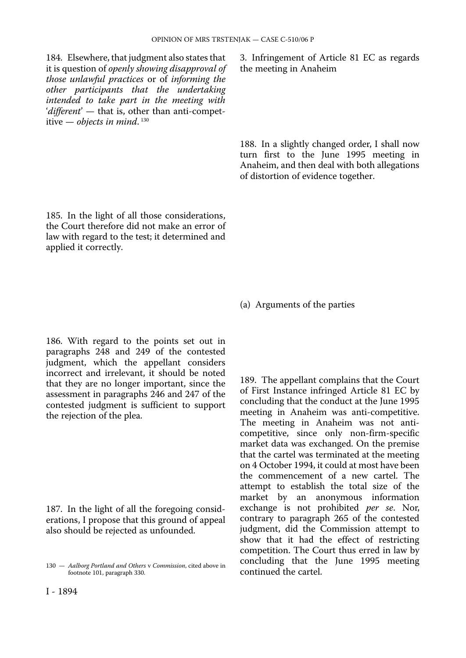184. Elsewhere, that judgment also states that it is question of *openly showing disapproval of those unlawful practices* or of *informing the other participants that the undertaking intended to take part in the meeting with*  '*different*' — that is, other than anti-competitive — *objects in mind*. 130

185. In the light of all those considerations, the Court therefore did not make an error of law with regard to the test; it determined and applied it correctly.

186. With regard to the points set out in paragraphs 248 and 249 of the contested judgment, which the appellant considers incorrect and irrelevant, it should be noted that they are no longer important, since the assessment in paragraphs 246 and 247 of the contested judgment is sufficient to support the rejection of the plea.

187. In the light of all the foregoing considerations, I propose that this ground of appeal also should be rejected as unfounded.

3. Infringement of Article 81 EC as regards the meeting in Anaheim

188. In a slightly changed order, I shall now turn first to the June 1995 meeting in Anaheim, and then deal with both allegations of distortion of evidence together.

(a) Arguments of the parties

189. The appellant complains that the Court of First Instance infringed Article 81 EC by concluding that the conduct at the June 1995 meeting in Anaheim was anti-competitive. The meeting in Anaheim was not anticompetitive, since only non-firm-specific market data was exchanged. On the premise that the cartel was terminated at the meeting on 4 October 1994, it could at most have been the commencement of a new cartel. The attempt to establish the total size of the market by an anonymous information exchange is not prohibited *per se*. Nor, contrary to paragraph 265 of the contested judgment, did the Commission attempt to show that it had the effect of restricting competition. The Court thus erred in law by concluding that the June 1995 meeting continued the cartel.

<sup>130</sup> — *Aalborg Portland and Others* v *Commission*, cited above in footnote 101, paragraph 330.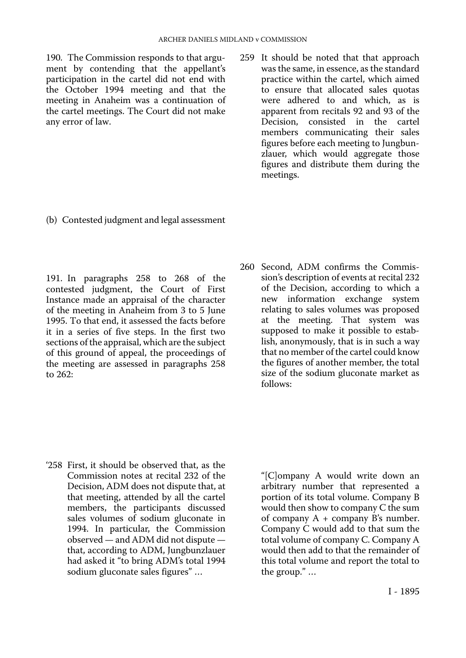190. The Commission responds to that argument by contending that the appellant's participation in the cartel did not end with the October 1994 meeting and that the meeting in Anaheim was a continuation of the cartel meetings. The Court did not make any error of law.

259 It should be noted that that approach was the same, in essence, as the standard practice within the cartel, which aimed to ensure that allocated sales quotas were adhered to and which, as is apparent from recitals 92 and 93 of the Decision, consisted in the cartel members communicating their sales figures before each meeting to Jungbunzlauer, which would aggregate those figures and distribute them during the meetings.

(b) Contested judgment and legal assessment

191. In paragraphs 258 to 268 of the contested judgment, the Court of First Instance made an appraisal of the character of the meeting in Anaheim from 3 to 5 June 1995. To that end, it assessed the facts before it in a series of five steps. In the first two sections of the appraisal, which are the subject of this ground of appeal, the proceedings of the meeting are assessed in paragraphs 258 to 262:

260 Second, ADM confirms the Commission's description of events at recital 232 of the Decision, according to which a new information exchange system relating to sales volumes was proposed at the meeting. That system was supposed to make it possible to establish, anonymously, that is in such a way that no member of the cartel could know the figures of another member, the total size of the sodium gluconate market as follows:

'258 First, it should be observed that, as the Commission notes at recital 232 of the Decision, ADM does not dispute that, at that meeting, attended by all the cartel members, the participants discussed sales volumes of sodium gluconate in 1994. In particular, the Commission observed — and ADM did not dispute that, according to ADM, Jungbunzlauer had asked it "to bring ADM's total 1994 sodium gluconate sales figures" …

"[C]ompany A would write down an arbitrary number that represented a portion of its total volume. Company B would then show to company C the sum of company  $A + \text{company } B$ 's number. Company C would add to that sum the total volume of company C. Company A would then add to that the remainder of this total volume and report the total to the group." …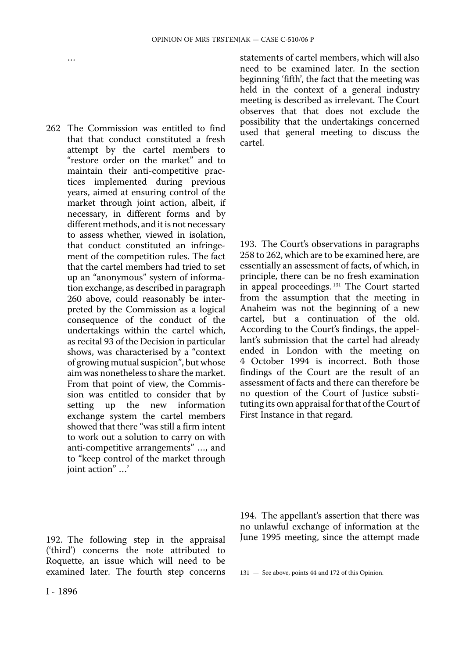262 The Commission was entitled to find that that conduct constituted a fresh attempt by the cartel members to "restore order on the market" and to maintain their anti-competitive practices implemented during previous years, aimed at ensuring control of the market through joint action, albeit, if necessary, in different forms and by different methods, and it is not necessary to assess whether, viewed in isolation, that conduct constituted an infringement of the competition rules. The fact that the cartel members had tried to set up an "anonymous" system of information exchange, as described in paragraph 260 above, could reasonably be interpreted by the Commission as a logical consequence of the conduct of the undertakings within the cartel which, as recital 93 of the Decision in particular shows, was characterised by a "context of growing mutual suspicion", but whose aim was nonetheless to share the market. From that point of view, the Commission was entitled to consider that by<br>setting up the new information up the new information exchange system the cartel members showed that there "was still a firm intent to work out a solution to carry on with anti-competitive arrangements" …, and to "keep control of the market through joint action" …'

statements of cartel members, which will also need to be examined later. In the section beginning 'fifth', the fact that the meeting was held in the context of a general industry meeting is described as irrelevant. The Court observes that that does not exclude the possibility that the undertakings concerned used that general meeting to discuss the cartel.

193. The Court's observations in paragraphs 258 to 262, which are to be examined here, are essentially an assessment of facts, of which, in principle, there can be no fresh examination in appeal proceedings.<sup>131</sup> The Court started from the assumption that the meeting in Anaheim was not the beginning of a new cartel, but a continuation of the old. According to the Court's findings, the appellant's submission that the cartel had already ended in London with the meeting on 4 October 1994 is incorrect. Both those findings of the Court are the result of an assessment of facts and there can therefore be no question of the Court of Justice substituting its own appraisal for that of the Court of First Instance in that regard.

192. The following step in the appraisal ('third') concerns the note attributed to Roquette, an issue which will need to be examined later. The fourth step concerns

…

194. The appellant's assertion that there was no unlawful exchange of information at the June 1995 meeting, since the attempt made

<sup>131</sup> — See above, points 44 and 172 of this Opinion.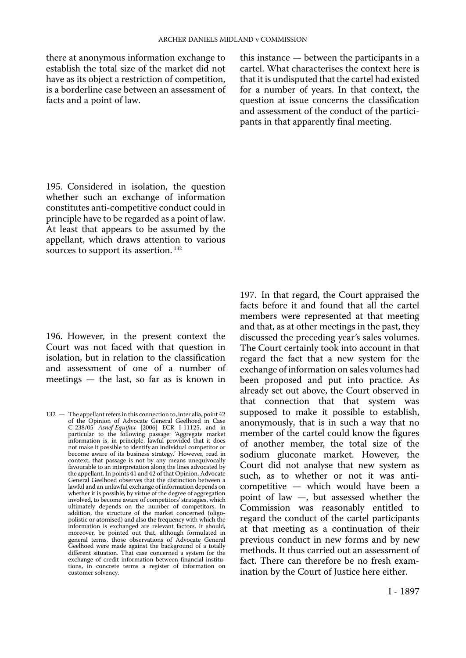there at anonymous information exchange to establish the total size of the market did not have as its object a restriction of competition, is a borderline case between an assessment of facts and a point of law.

this instance — between the participants in a cartel. What characterises the context here is that it is undisputed that the cartel had existed for a number of years. In that context, the question at issue concerns the classification and assessment of the conduct of the participants in that apparently final meeting.

195. Considered in isolation, the question whether such an exchange of information constitutes anti-competitive conduct could in principle have to be regarded as a point of law. At least that appears to be assumed by the appellant, which draws attention to various sources to support its assertion.<sup>132</sup>

196. However, in the present context the Court was not faced with that question in isolation, but in relation to the classification and assessment of one of a number of meetings — the last, so far as is known in

197. In that regard, the Court appraised the facts before it and found that all the cartel members were represented at that meeting and that, as at other meetings in the past, they discussed the preceding year's sales volumes. The Court certainly took into account in that regard the fact that a new system for the exchange of information on sales volumes had been proposed and put into practice. As already set out above, the Court observed in that connection that that system was supposed to make it possible to establish, anonymously, that is in such a way that no member of the cartel could know the figures of another member, the total size of the sodium gluconate market. However, the Court did not analyse that new system as such, as to whether or not it was anticompetitive — which would have been a point of law —, but assessed whether the Commission was reasonably entitled to regard the conduct of the cartel participants at that meeting as a continuation of their previous conduct in new forms and by new methods. It thus carried out an assessment of fact. There can therefore be no fresh examination by the Court of Justice here either.

<sup>132 -</sup> The appellant refers in this connection to, inter alia, point 42 of the Opinion of Advocate General Geelhoed in Case C-238/05 *Asnef-Equifax* [2006] ECR I-11125, and in particular to the following passage: 'Aggregate market information is, in principle, lawful provided that it does not make it possible to identify an individual competitor or become aware of its business strategy.' However, read in context, that passage is not by any means unequivocally favourable to an interpretation along the lines advocated by the appellant. In points 41 and 42 of that Opinion, Advocate General Geelhoed observes that the distinction between a lawful and an unlawful exchange of information depends on whether it is possible, by virtue of the degree of aggregation involved, to become aware of competitors'strategies, which ultimately depends on the number of competitors. In addition, the structure of the market concerned (oligopolistic or atomised) and also the frequency with which the information is exchanged are relevant factors. It should, moreover, be pointed out that, although formulated in general terms, those observations of Advocate General Geelhoed were made against the background of a totally different situation. That case concerned a system for the exchange of credit information between financial institutions, in concrete terms a register of information on customer solvency.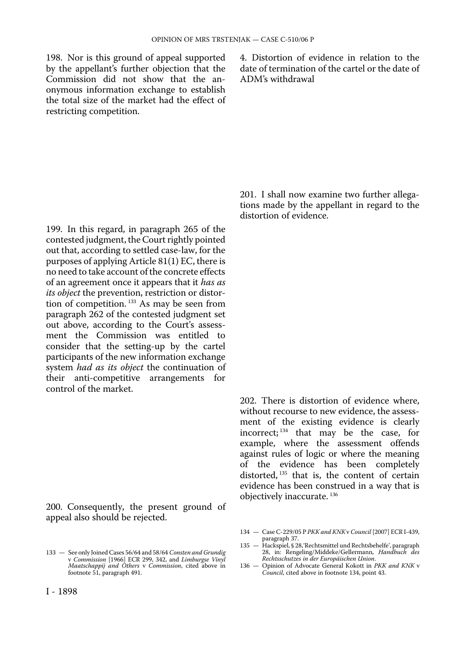198. Nor is this ground of appeal supported by the appellant's further objection that the Commission did not show that the anonymous information exchange to establish the total size of the market had the effect of restricting competition.

4. Distortion of evidence in relation to the date of termination of the cartel or the date of ADM's withdrawal

199. In this regard, in paragraph 265 of the contested judgment, the Court rightly pointed out that, according to settled case-law, for the purposes of applying Article 81(1) EC, there is no need to take account of the concrete effects of an agreement once it appears that it *has as its object* the prevention, restriction or distortion of competition. 133 As may be seen from paragraph 262 of the contested judgment set out above, according to the Court's assessment the Commission was entitled to consider that the setting-up by the cartel participants of the new information exchange system *had as its object* the continuation of their anti-competitive arrangements for control of the market.

200. Consequently, the present ground of appeal also should be rejected.

201. I shall now examine two further allegations made by the appellant in regard to the distortion of evidence.

202. There is distortion of evidence where, without recourse to new evidence, the assessment of the existing evidence is clearly incorrect; 134 that may be the case, for example, where the assessment offends against rules of logic or where the meaning of the evidence has been completely distorted,  $135$  that is, the content of certain evidence has been construed in a way that is objectively inaccurate. 136

- 134 Case C-229/05 P *PKK and KNK* v *Council* [2007] ECR I-439, paragraph 37.
- 135 Hackspiel, § 28,'Rechtsmittel und Rechtsbehelfe', paragraph 28, in: Rengeling/Middeke/Gellermann, *Handbuch des Rechtsschutzes in der Europäischen Union*.
- 136 Opinion of Advocate General Kokott in *PKK and KNK* v *Council*, cited above in footnote 134, point 43.

<sup>133</sup> — See only Joined Cases 56/64 and 58/64 *Consten and Grundig*  v *Commission* [1966] ECR 299, 342, and *Limburgse Vinyl Maatschappij and Others* v *Commission*, cited above in footnote 51, paragraph 491.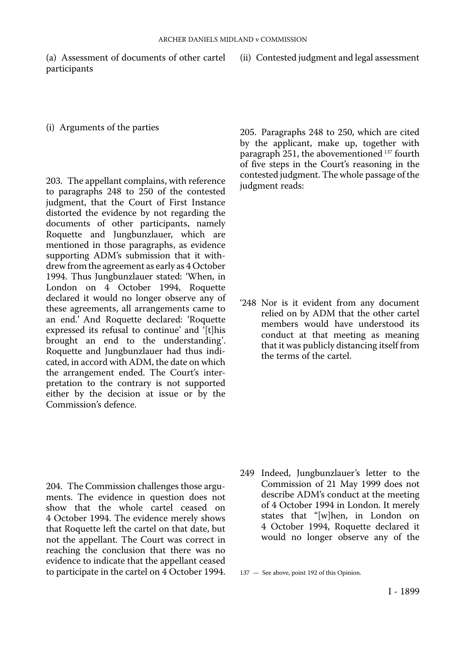(a) Assessment of documents of other cartel participants

(ii) Contested judgment and legal assessment

#### (i) Arguments of the parties

203. The appellant complains, with reference to paragraphs 248 to 250 of the contested judgment, that the Court of First Instance distorted the evidence by not regarding the documents of other participants, namely Roquette and Jungbunzlauer, which are mentioned in those paragraphs, as evidence supporting ADM's submission that it withdrew from the agreement as early as 4 October 1994. Thus Jungbunzlauer stated: 'When, in London on 4 October 1994, Roquette declared it would no longer observe any of these agreements, all arrangements came to an end.' And Roquette declared: 'Roquette expressed its refusal to continue' and '[t]his brought an end to the understanding'. Roquette and Jungbunzlauer had thus indicated, in accord with ADM, the date on which the arrangement ended. The Court's interpretation to the contrary is not supported either by the decision at issue or by the Commission's defence.

205. Paragraphs 248 to 250, which are cited by the applicant, make up, together with paragraph 251, the abovementioned 137 fourth of five steps in the Court's reasoning in the contested judgment. The whole passage of the judgment reads:

'248 Nor is it evident from any document relied on by ADM that the other cartel members would have understood its conduct at that meeting as meaning that it was publicly distancing itself from the terms of the cartel.

- 204. The Commission challenges those arguments. The evidence in question does not show that the whole cartel ceased on 4 October 1994. The evidence merely shows that Roquette left the cartel on that date, but not the appellant. The Court was correct in reaching the conclusion that there was no evidence to indicate that the appellant ceased to participate in the cartel on 4 October 1994.
- 249 Indeed, Jungbunzlauer's letter to the Commission of 21 May 1999 does not describe ADM's conduct at the meeting of 4 October 1994 in London. It merely states that "[w]hen, in London on 4 October 1994, Roquette declared it would no longer observe any of the

137 — See above, point 192 of this Opinion.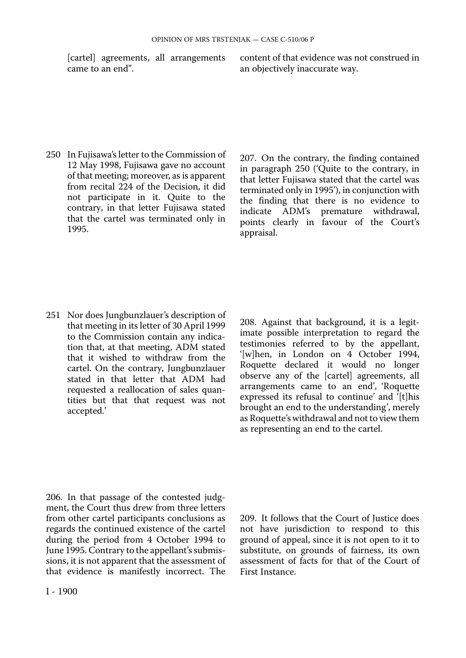250 In Fujisawa's letter to the Commission of 12 May 1998, Fujisawa gave no account of that meeting; moreover, as is apparent from recital 224 of the Decision, it did not participate in it. Quite to the contrary, in that letter Fujisawa stated that the cartel was terminated only in 1995.

[cartel] agreements, all arrangements content of that evidence was not construed in an objectively inaccurate way.

> 207. On the contrary, the finding contained in paragraph 250 ('Quite to the contrary, in that letter Fujisawa stated that the cartel was terminated only in 1995'), in conjunction with the finding that there is no evidence to indicate ADM's premature withdrawal, points clearly in favour of the Court's appraisal.

251 Nor does Jungbunzlauer's description of that meeting in its letter of 30 April 1999 to the Commission contain any indication that, at that meeting, ADM stated that it wished to withdraw from the cartel. On the contrary, Jungbunzlauer stated in that letter that ADM had requested a reallocation of sales quantities but that that request was not accepted.'

208. Against that background, it is a legitimate possible interpretation to regard the testimonies referred to by the appellant, '[w]hen, in London on 4 October 1994, Roquette declared it would no longer observe any of the [cartel] agreements, all arrangements came to an end', 'Roquette expressed its refusal to continue' and '[t]his brought an end to the understanding', merely as Roquette's withdrawal and not to view them as representing an end to the cartel.

206. In that passage of the contested judgment, the Court thus drew from three letters from other cartel participants conclusions as regards the continued existence of the cartel during the period from 4 October 1994 to June 1995. Contrary to the appellant's submissions, it is not apparent that the assessment of that evidence is manifestly incorrect. The

209. It follows that the Court of Justice does not have jurisdiction to respond to this ground of appeal, since it is not open to it to substitute, on grounds of fairness, its own assessment of facts for that of the Court of First Instance.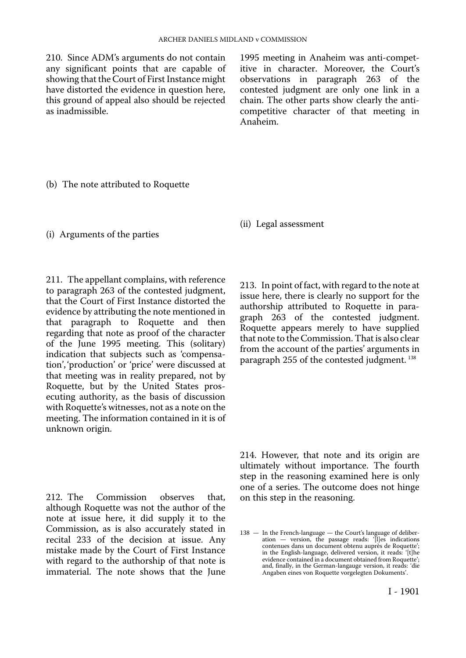210. Since ADM's arguments do not contain any significant points that are capable of showing that the Court of First Instance might have distorted the evidence in question here, this ground of appeal also should be rejected as inadmissible.

1995 meeting in Anaheim was anti-competitive in character. Moreover, the Court's observations in paragraph 263 of the contested judgment are only one link in a chain. The other parts show clearly the anticompetitive character of that meeting in Anaheim.

(b) The note attributed to Roquette

(i) Arguments of the parties

211. The appellant complains, with reference to paragraph 263 of the contested judgment, that the Court of First Instance distorted the evidence by attributing the note mentioned in that paragraph to Roquette and then regarding that note as proof of the character of the June 1995 meeting. This (solitary) indication that subjects such as 'compensation', 'production' or 'price' were discussed at that meeting was in reality prepared, not by Roquette, but by the United States prosecuting authority, as the basis of discussion with Roquette's witnesses, not as a note on the meeting. The information contained in it is of unknown origin.

212. The Commission observes that, although Roquette was not the author of the note at issue here, it did supply it to the Commission, as is also accurately stated in recital 233 of the decision at issue. Any mistake made by the Court of First Instance with regard to the authorship of that note is immaterial. The note shows that the June (ii) Legal assessment

213. In point of fact, with regard to the note at issue here, there is clearly no support for the authorship attributed to Roquette in paragraph 263 of the contested judgment. Roquette appears merely to have supplied that note to the Commission. That is also clear from the account of the parties' arguments in paragraph 255 of the contested judgment.<sup>138</sup>

214. However, that note and its origin are ultimately without importance. The fourth step in the reasoning examined here is only one of a series. The outcome does not hinge on this step in the reasoning.

<sup>138</sup> — In the French-language — the Court's language of deliberation — version, the passage reads: '[l]es indications contenues dans un document obtenu auprès de Roquette'; in the English-language, delivered version, it reads: '[t]he evidence contained in a document obtained from Roquette'; and, finally, in the German-langauge version, it reads: 'die Angaben eines von Roquette vorgelegten Dokuments'.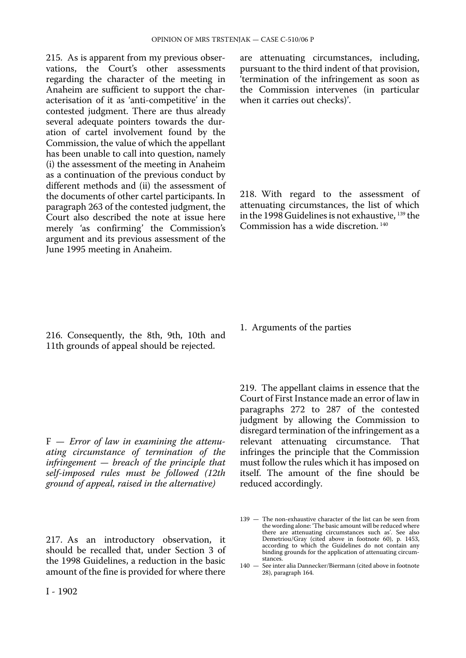215. As is apparent from my previous observations, the Court's other assessments regarding the character of the meeting in Anaheim are sufficient to support the characterisation of it as 'anti-competitive' in the contested judgment. There are thus already several adequate pointers towards the duration of cartel involvement found by the Commission, the value of which the appellant has been unable to call into question, namely (i) the assessment of the meeting in Anaheim as a continuation of the previous conduct by different methods and (ii) the assessment of the documents of other cartel participants. In paragraph 263 of the contested judgment, the Court also described the note at issue here merely 'as confirming' the Commission's argument and its previous assessment of the June 1995 meeting in Anaheim.

216. Consequently, the 8th, 9th, 10th and 11th grounds of appeal should be rejected.

F — *Error of law in examining the attenuating circumstance of termination of the infringement — breach of the principle that self-imposed rules must be followed (12th ground of appeal, raised in the alternative)* 

217. As an introductory observation, it should be recalled that, under Section 3 of the 1998 Guidelines, a reduction in the basic amount of the fine is provided for where there are attenuating circumstances, including, pursuant to the third indent of that provision, 'termination of the infringement as soon as the Commission intervenes (in particular when it carries out checks)'.

218. With regard to the assessment of attenuating circumstances, the list of which in the 1998 Guidelines is not exhaustive, 139 the Commission has a wide discretion. 140

1. Arguments of the parties

219. The appellant claims in essence that the Court of First Instance made an error of law in paragraphs 272 to 287 of the contested judgment by allowing the Commission to disregard termination of the infringement as a relevant attenuating circumstance. That infringes the principle that the Commission must follow the rules which it has imposed on itself. The amount of the fine should be reduced accordingly.

140 — See inter alia Dannecker/Biermann (cited above in footnote 28), paragraph 164.

<sup>139</sup> — The non-exhaustive character of the list can be seen from the wording alone: 'The basic amount will be reduced where there are attenuating circumstances such as'. See also Demetriou/Gray (cited above in footnote 60), p. 1453, according to which the Guidelines do not contain any binding grounds for the application of attenuating circumstances.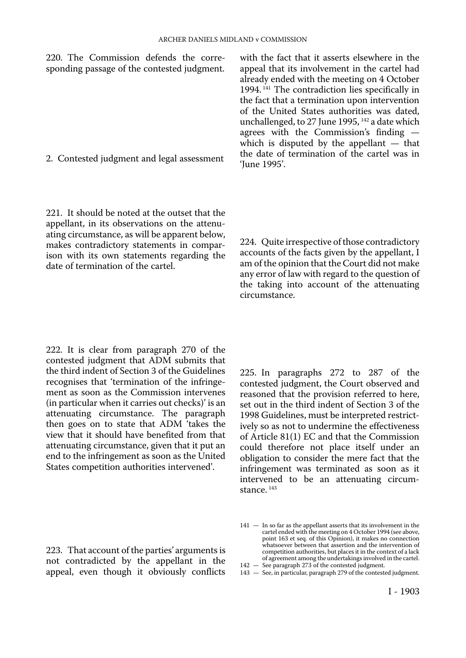220. The Commission defends the corresponding passage of the contested judgment.

2. Contested judgment and legal assessment

221. It should be noted at the outset that the appellant, in its observations on the attenuating circumstance, as will be apparent below, makes contradictory statements in comparison with its own statements regarding the date of termination of the cartel.

with the fact that it asserts elsewhere in the appeal that its involvement in the cartel had already ended with the meeting on 4 October 1994. 141 The contradiction lies specifically in the fact that a termination upon intervention of the United States authorities was dated, unchallenged, to 27 June 1995, <sup>142</sup> a date which agrees with the Commission's finding which is disputed by the appellant — that the date of termination of the cartel was in 'June 1995'.

224. Quite irrespective of those contradictory accounts of the facts given by the appellant, I am of the opinion that the Court did not make any error of law with regard to the question of the taking into account of the attenuating circumstance.

222. It is clear from paragraph 270 of the contested judgment that ADM submits that the third indent of Section 3 of the Guidelines recognises that 'termination of the infringement as soon as the Commission intervenes (in particular when it carries out checks)' is an attenuating circumstance. The paragraph then goes on to state that ADM 'takes the view that it should have benefited from that attenuating circumstance, given that it put an end to the infringement as soon as the United States competition authorities intervened'.

223. That account of the parties' arguments is not contradicted by the appellant in the appeal, even though it obviously conflicts

225. In paragraphs 272 to 287 of the contested judgment, the Court observed and reasoned that the provision referred to here, set out in the third indent of Section 3 of the 1998 Guidelines, must be interpreted restrictively so as not to undermine the effectiveness of Article 81(1) EC and that the Commission could therefore not place itself under an obligation to consider the mere fact that the infringement was terminated as soon as it intervened to be an attenuating circumstance.<sup>143</sup>

142 — See paragraph 273 of the contested judgment. 143 — See, in particular, paragraph 279 of the contested judgment.

<sup>141</sup> — In so far as the appellant asserts that its involvement in the cartel ended with the meeting on 4 October 1994 (see above, point 163 et seq. of this Opinion), it makes no connection whatsoever between that assertion and the intervention of competition authorities, but places it in the context of a lack of agreement among the undertakings involved in the cartel.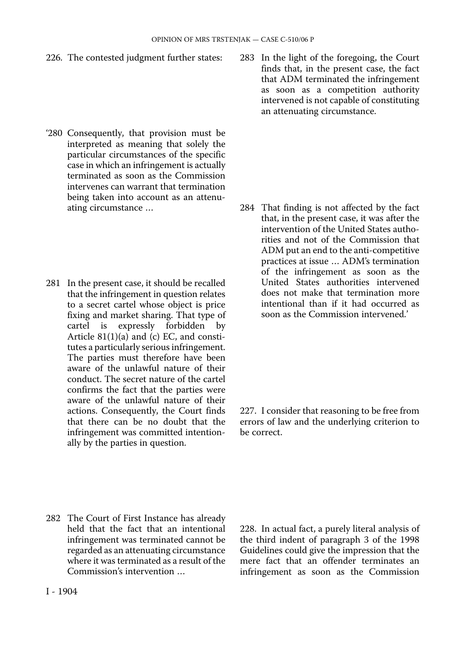226. The contested judgment further states:

- '280 Consequently, that provision must be interpreted as meaning that solely the particular circumstances of the specific case in which an infringement is actually terminated as soon as the Commission intervenes can warrant that termination being taken into account as an attenuating circumstance …
- 281 In the present case, it should be recalled that the infringement in question relates to a secret cartel whose object is price fixing and market sharing. That type of<br>cartel is expressly forbidden by expressly forbidden Article 81(1)(a) and (c) EC, and constitutes a particularly serious infringement. The parties must therefore have been aware of the unlawful nature of their conduct. The secret nature of the cartel confirms the fact that the parties were aware of the unlawful nature of their actions. Consequently, the Court finds that there can be no doubt that the infringement was committed intentionally by the parties in question.

283 In the light of the foregoing, the Court finds that, in the present case, the fact that ADM terminated the infringement as soon as a competition authority intervened is not capable of constituting an attenuating circumstance.

284 That finding is not affected by the fact that, in the present case, it was after the intervention of the United States authorities and not of the Commission that ADM put an end to the anti-competitive practices at issue … ADM's termination of the infringement as soon as the United States authorities intervened does not make that termination more intentional than if it had occurred as soon as the Commission intervened.'

227. I consider that reasoning to be free from errors of law and the underlying criterion to be correct.

282 The Court of First Instance has already held that the fact that an intentional infringement was terminated cannot be regarded as an attenuating circumstance where it was terminated as a result of the Commission's intervention …

228. In actual fact, a purely literal analysis of the third indent of paragraph 3 of the 1998 Guidelines could give the impression that the mere fact that an offender terminates an infringement as soon as the Commission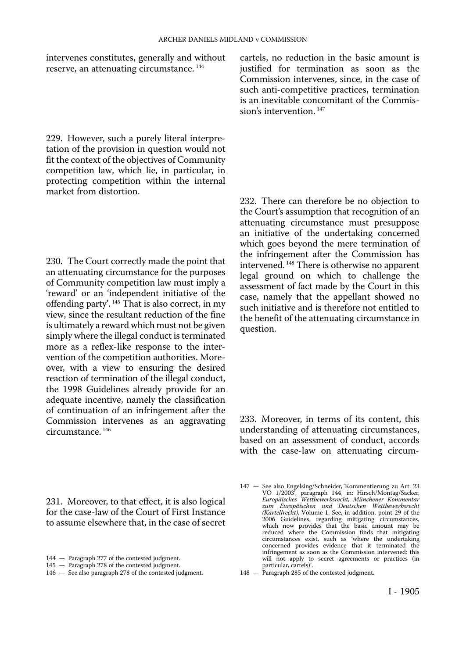intervenes constitutes, generally and without reserve, an attenuating circumstance. 144

229. However, such a purely literal interpretation of the provision in question would not fit the context of the objectives of Community competition law, which lie, in particular, in protecting competition within the internal market from distortion.

230. The Court correctly made the point that an attenuating circumstance for the purposes of Community competition law must imply a 'reward' or an 'independent initiative of the offending party'. 145 That is also correct, in my view, since the resultant reduction of the fine is ultimately a reward which must not be given simply where the illegal conduct is terminated more as a reflex-like response to the intervention of the competition authorities. Moreover, with a view to ensuring the desired reaction of termination of the illegal conduct, the 1998 Guidelines already provide for an adequate incentive, namely the classification of continuation of an infringement after the Commission intervenes as an aggravating circumstance. 146

231. Moreover, to that effect, it is also logical for the case-law of the Court of First Instance to assume elsewhere that, in the case of secret

cartels, no reduction in the basic amount is justified for termination as soon as the Commission intervenes, since, in the case of such anti-competitive practices, termination is an inevitable concomitant of the Commission's intervention. 147

232. There can therefore be no objection to the Court's assumption that recognition of an attenuating circumstance must presuppose an initiative of the undertaking concerned which goes beyond the mere termination of the infringement after the Commission has intervened. 148 There is otherwise no apparent legal ground on which to challenge the assessment of fact made by the Court in this case, namely that the appellant showed no such initiative and is therefore not entitled to the benefit of the attenuating circumstance in question.

233. Moreover, in terms of its content, this understanding of attenuating circumstances, based on an assessment of conduct, accords with the case-law on attenuating circum-

<sup>144</sup> — Paragraph 277 of the contested judgment.

<sup>145</sup> — Paragraph 278 of the contested judgment.

<sup>146</sup> — See also paragraph 278 of the contested judgment.

<sup>147</sup> — See also Engelsing/Schneider, 'Kommentierung zu Art. 23 VO 1/2003', paragraph 144, in: Hirsch/Montag/Säcker, *Europäisches Wettbewerbsrecht, Münchener Kommentar zum Europäischen und Deutschen Wettbewerbsrecht (Kartellrecht)*, Volume 1. See, in addition, point 29 of the 2006 Guidelines, regarding mitigating circumstances, which now provides that the basic amount may be reduced where the Commission finds that mitigating circumstances exist, such as 'where the undertaking concerned provides evidence that it terminated the infringement as soon as the Commission intervened: this will not apply to secret agreements or practices (in particular, cartels)'.

<sup>148</sup> — Paragraph 285 of the contested judgment.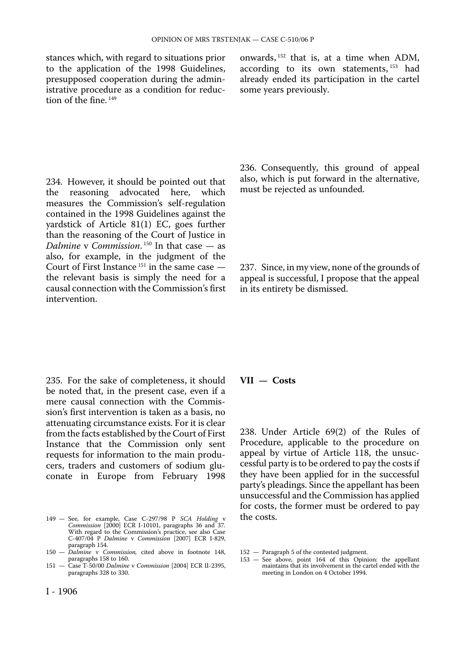to the application of the 1998 Guidelines, according to its own statements, <sup>153</sup> had presupposed cooperation during the admin- already ended its participation in the cartel istrative procedure as a condition for reduction of the fine.<sup>149</sup>

234. However, it should be pointed out that<br>the reasoning advocated here, which the reasoning advocated here, measures the Commission's self-regulation contained in the 1998 Guidelines against the yardstick of Article 81(1) EC, goes further than the reasoning of the Court of Justice in *Dalmine* v *Commission*. 150 In that case — as also, for example, in the judgment of the Court of First Instance  $151$  in the same case  $$ the relevant basis is simply the need for a causal connection with the Commission's first intervention.

235. For the sake of completeness, it should be noted that, in the present case, even if a mere causal connection with the Commission's first intervention is taken as a basis, no attenuating circumstance exists. For it is clear from the facts established by the Court of First Instance that the Commission only sent requests for information to the main producers, traders and customers of sodium gluconate in Europe from February 1998

- 150 *Dalmine* v *Commission,* cited above in footnote 148, paragraphs 158 to 160.
- 151 Case T-50/00 *Dalmine* v *Commission* [2004] ECR II-2395, paragraphs 328 to 330.

236. Consequently, this ground of appeal also, which is put forward in the alternative, must be rejected as unfounded.

237. Since, in my view, none of the grounds of appeal is successful, I propose that the appeal in its entirety be dismissed.

### **VII — Costs**

238. Under Article 69(2) of the Rules of Procedure, applicable to the procedure on appeal by virtue of Article 118, the unsuccessful party is to be ordered to pay the costs if they have been applied for in the successful party's pleadings. Since the appellant has been unsuccessful and the Commission has applied for costs, the former must be ordered to pay the costs.

<sup>149</sup> — See, for example, Case C-297/98 P *SCA Holding* v *Commission* [2000] ECR I-10101, paragraphs 36 and 37. With regard to the Commission's practice, see also Case C-407/04 P *Dalmine* v *Commission* [2007] ECR I-829, paragraph 154.

<sup>152</sup> — Paragraph 5 of the contested judgment.

<sup>153</sup> — See above, point 164 of this Opinion: the appellant maintains that its involvement in the cartel ended with the meeting in London on 4 October 1994.